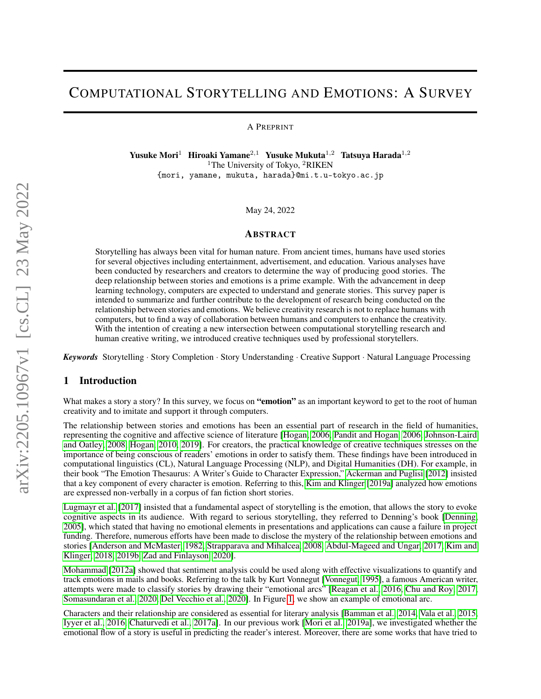# COMPUTATIONAL STORYTELLING AND EMOTIONS: A SURVEY

A PREPRINT

Yusuke Mori<sup>1</sup> Hiroaki Yamane<sup>2,1</sup> Yusuke Mukuta<sup>1,2</sup> Tatsuya Harada<sup>1,2</sup> <sup>1</sup>The University of Tokyo, <sup>2</sup>RIKEN {mori, yamane, mukuta, harada}@mi.t.u-tokyo.ac.jp

May 24, 2022

#### ABSTRACT

Storytelling has always been vital for human nature. From ancient times, humans have used stories for several objectives including entertainment, advertisement, and education. Various analyses have been conducted by researchers and creators to determine the way of producing good stories. The deep relationship between stories and emotions is a prime example. With the advancement in deep learning technology, computers are expected to understand and generate stories. This survey paper is intended to summarize and further contribute to the development of research being conducted on the relationship between stories and emotions. We believe creativity research is not to replace humans with computers, but to find a way of collaboration between humans and computers to enhance the creativity. With the intention of creating a new intersection between computational storytelling research and human creative writing, we introduced creative techniques used by professional storytellers.

*Keywords* Storytelling · Story Completion · Story Understanding · Creative Support · Natural Language Processing

## 1 Introduction

What makes a story a story? In this survey, we focus on "emotion" as an important keyword to get to the root of human creativity and to imitate and support it through computers.

The relationship between stories and emotions has been an essential part of research in the field of humanities, representing the cognitive and affective science of literature [\[Hogan, 2006,](#page-14-0) [Pandit and Hogan, 2006,](#page-14-1) [Johnson-Laird](#page-14-2) [and Oatley, 2008,](#page-14-2) [Hogan, 2010,](#page-14-3) [2019\]](#page-14-4). For creators, the practical knowledge of creative techniques stresses on the importance of being conscious of readers' emotions in order to satisfy them. These findings have been introduced in computational linguistics (CL), Natural Language Processing (NLP), and Digital Humanities (DH). For example, in their book "The Emotion Thesaurus: A Writer's Guide to Character Expression," [Ackerman and Puglisi](#page-14-5) [\[2012\]](#page-14-5) insisted that a key component of every character is emotion. Referring to this, [Kim and Klinger](#page-14-6) [\[2019a\]](#page-14-6) analyzed how emotions are expressed non-verbally in a corpus of fan fiction short stories.

[Lugmayr et al.](#page-14-7) [\[2017\]](#page-14-7) insisted that a fundamental aspect of storytelling is the emotion, that allows the story to evoke cognitive aspects in its audience. With regard to serious storytelling, they referred to Denning's book [\[Denning,](#page-14-8) [2005\]](#page-14-8), which stated that having no emotional elements in presentations and applications can cause a failure in project funding. Therefore, numerous efforts have been made to disclose the mystery of the relationship between emotions and stories [\[Anderson and McMaster, 1982,](#page-15-0) [Strapparava and Mihalcea, 2008,](#page-15-1) [Abdul-Mageed and Ungar, 2017,](#page-15-2) [Kim and](#page-15-3) [Klinger, 2018,](#page-15-3) [2019b,](#page-15-4) [Zad and Finlayson, 2020\]](#page-15-5).

[Mohammad](#page-15-6) [\[2012a\]](#page-15-6) showed that sentiment analysis could be used along with effective visualizations to quantify and track emotions in mails and books. Referring to the talk by Kurt Vonnegut [\[Vonnegut, 1995\]](#page-15-7), a famous American writer, attempts were made to classify stories by drawing their "emotional arcs" [\[Reagan et al., 2016,](#page-15-8) [Chu and Roy, 2017,](#page-15-9) [Somasundaran et al., 2020,](#page-15-10) [Del Vecchio et al., 2020\]](#page-15-11). In Figure [1,](#page-1-0) we show an example of emotional arc.

Characters and their relationship are considered as essential for literary analysis [\[Bamman et al., 2014,](#page-15-12) [Vala et al., 2015,](#page-15-13) [Iyyer et al., 2016,](#page-15-14) [Chaturvedi et al., 2017a\]](#page-15-15). In our previous work [\[Mori et al., 2019a\]](#page-15-16), we investigated whether the emotional flow of a story is useful in predicting the reader's interest. Moreover, there are some works that have tried to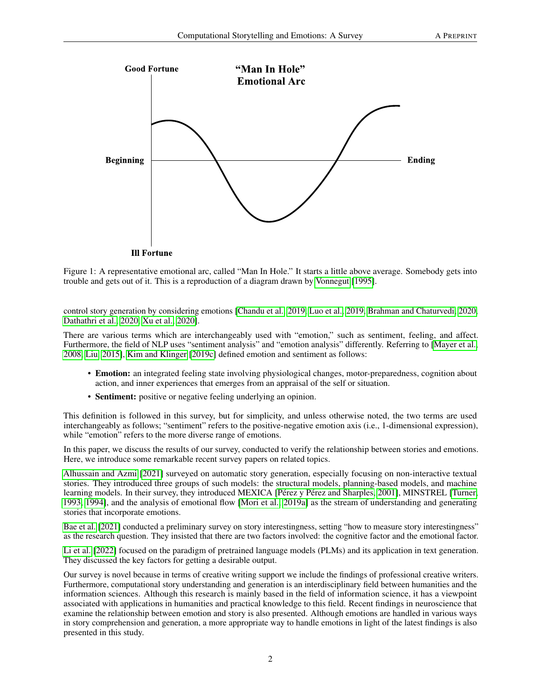<span id="page-1-0"></span>

**Ill Fortune** 

Figure 1: A representative emotional arc, called "Man In Hole." It starts a little above average. Somebody gets into trouble and gets out of it. This is a reproduction of a diagram drawn by [Vonnegut](#page-15-7) [\[1995\]](#page-15-7).

control story generation by considering emotions [\[Chandu et al., 2019,](#page-15-17) [Luo et al., 2019,](#page-16-0) [Brahman and Chaturvedi, 2020,](#page-16-1) [Dathathri et al., 2020,](#page-16-2) [Xu et al., 2020\]](#page-16-3).

There are various terms which are interchangeably used with "emotion," such as sentiment, feeling, and affect. Furthermore, the field of NLP uses "sentiment analysis" and "emotion analysis" differently. Referring to [\[Mayer et al.,](#page-16-4) [2008,](#page-16-4) [Liu, 2015\]](#page-16-5), [Kim and Klinger](#page-16-6) [\[2019c\]](#page-16-6) defined emotion and sentiment as follows:

- Emotion: an integrated feeling state involving physiological changes, motor-preparedness, cognition about action, and inner experiences that emerges from an appraisal of the self or situation.
- Sentiment: positive or negative feeling underlying an opinion.

This definition is followed in this survey, but for simplicity, and unless otherwise noted, the two terms are used interchangeably as follows; "sentiment" refers to the positive-negative emotion axis (i.e., 1-dimensional expression), while "emotion" refers to the more diverse range of emotions.

In this paper, we discuss the results of our survey, conducted to verify the relationship between stories and emotions. Here, we introduce some remarkable recent survey papers on related topics.

[Alhussain and Azmi](#page-16-7) [\[2021\]](#page-16-7) surveyed on automatic story generation, especially focusing on non-interactive textual stories. They introduced three groups of such models: the structural models, planning-based models, and machine learning models. In their survey, they introduced MEXICA [\[Pérez y Pérez and Sharples, 2001\]](#page-16-8), MINSTREL [\[Turner,](#page-16-9) [1993,](#page-16-9) [1994\]](#page-16-10), and the analysis of emotional flow [\[Mori et al., 2019a\]](#page-15-16) as the stream of understanding and generating stories that incorporate emotions.

[Bae et al.](#page-16-11) [\[2021\]](#page-16-11) conducted a preliminary survey on story interestingness, setting "how to measure story interestingness" as the research question. They insisted that there are two factors involved: the cognitive factor and the emotional factor.

[Li et al.](#page-16-12) [\[2022\]](#page-16-12) focused on the paradigm of pretrained language models (PLMs) and its application in text generation. They discussed the key factors for getting a desirable output.

Our survey is novel because in terms of creative writing support we include the findings of professional creative writers. Furthermore, computational story understanding and generation is an interdisciplinary field between humanities and the information sciences. Although this research is mainly based in the field of information science, it has a viewpoint associated with applications in humanities and practical knowledge to this field. Recent findings in neuroscience that examine the relationship between emotion and story is also presented. Although emotions are handled in various ways in story comprehension and generation, a more appropriate way to handle emotions in light of the latest findings is also presented in this study.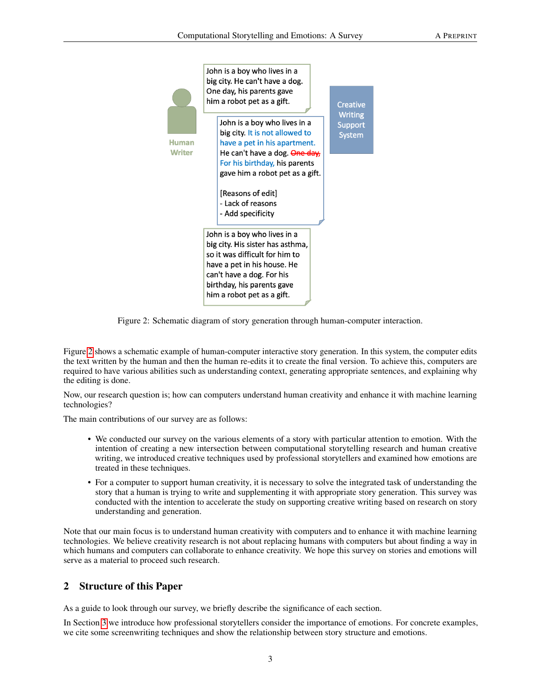<span id="page-2-0"></span>

Figure 2: Schematic diagram of story generation through human-computer interaction.

Figure [2](#page-2-0) shows a schematic example of human-computer interactive story generation. In this system, the computer edits the text written by the human and then the human re-edits it to create the final version. To achieve this, computers are required to have various abilities such as understanding context, generating appropriate sentences, and explaining why the editing is done.

Now, our research question is; how can computers understand human creativity and enhance it with machine learning technologies?

The main contributions of our survey are as follows:

- We conducted our survey on the various elements of a story with particular attention to emotion. With the intention of creating a new intersection between computational storytelling research and human creative writing, we introduced creative techniques used by professional storytellers and examined how emotions are treated in these techniques.
- For a computer to support human creativity, it is necessary to solve the integrated task of understanding the story that a human is trying to write and supplementing it with appropriate story generation. This survey was conducted with the intention to accelerate the study on supporting creative writing based on research on story understanding and generation.

Note that our main focus is to understand human creativity with computers and to enhance it with machine learning technologies. We believe creativity research is not about replacing humans with computers but about finding a way in which humans and computers can collaborate to enhance creativity. We hope this survey on stories and emotions will serve as a material to proceed such research.

# 2 Structure of this Paper

As a guide to look through our survey, we briefly describe the significance of each section.

In Section [3](#page-3-0) we introduce how professional storytellers consider the importance of emotions. For concrete examples, we cite some screenwriting techniques and show the relationship between story structure and emotions.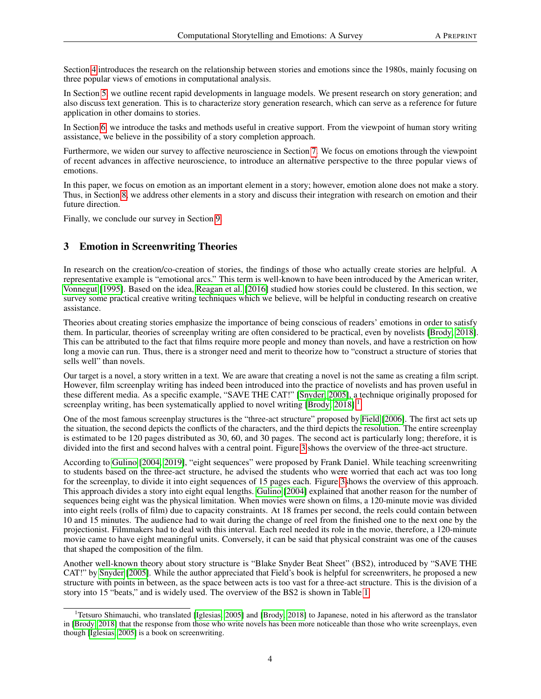Section [4](#page-5-0) introduces the research on the relationship between stories and emotions since the 1980s, mainly focusing on three popular views of emotions in computational analysis.

In Section [5,](#page-8-0) we outline recent rapid developments in language models. We present research on story generation; and also discuss text generation. This is to characterize story generation research, which can serve as a reference for future application in other domains to stories.

In Section [6,](#page-11-0) we introduce the tasks and methods useful in creative support. From the viewpoint of human story writing assistance, we believe in the possibility of a story completion approach.

Furthermore, we widen our survey to affective neuroscience in Section [7.](#page-12-0) We focus on emotions through the viewpoint of recent advances in affective neuroscience, to introduce an alternative perspective to the three popular views of emotions.

In this paper, we focus on emotion as an important element in a story; however, emotion alone does not make a story. Thus, in Section [8,](#page-13-0) we address other elements in a story and discuss their integration with research on emotion and their future direction.

Finally, we conclude our survey in Section [9.](#page-14-9)

# <span id="page-3-0"></span>3 Emotion in Screenwriting Theories

In research on the creation/co-creation of stories, the findings of those who actually create stories are helpful. A representative example is "emotional arcs." This term is well-known to have been introduced by the American writer, [Vonnegut](#page-15-7) [\[1995\]](#page-15-7). Based on the idea, [Reagan et al.](#page-15-8) [\[2016\]](#page-15-8) studied how stories could be clustered. In this section, we survey some practical creative writing techniques which we believe, will be helpful in conducting research on creative assistance.

Theories about creating stories emphasize the importance of being conscious of readers' emotions in order to satisfy them. In particular, theories of screenplay writing are often considered to be practical, even by novelists [\[Brody, 2018\]](#page-16-13). This can be attributed to the fact that films require more people and money than novels, and have a restriction on how long a movie can run. Thus, there is a stronger need and merit to theorize how to "construct a structure of stories that sells well" than novels.

Our target is a novel, a story written in a text. We are aware that creating a novel is not the same as creating a film script. However, film screenplay writing has indeed been introduced into the practice of novelists and has proven useful in these different media. As a specific example, "SAVE THE CAT!" [\[Snyder, 2005\]](#page-16-14), a technique originally proposed for screenplay writing, has been systematically applied to novel writing [\[Brody, 2018\]](#page-16-13).<sup>[1](#page-3-1)</sup>

One of the most famous screenplay structures is the "three-act structure" proposed by [Field](#page-16-15) [\[2006\]](#page-16-15). The first act sets up the situation, the second depicts the conflicts of the characters, and the third depicts the resolution. The entire screenplay is estimated to be 120 pages distributed as 30, 60, and 30 pages. The second act is particularly long; therefore, it is divided into the first and second halves with a central point. Figure [3](#page-4-0) shows the overview of the three-act structure.

According to [Gulino](#page-16-16) [\[2004,](#page-16-16) [2019\]](#page-16-17), "eight sequences" were proposed by Frank Daniel. While teaching screenwriting to students based on the three-act structure, he advised the students who were worried that each act was too long for the screenplay, to divide it into eight sequences of 15 pages each. Figure [3s](#page-4-0)hows the overview of this approach. This approach divides a story into eight equal lengths. [Gulino](#page-16-16) [\[2004\]](#page-16-16) explained that another reason for the number of sequences being eight was the physical limitation. When movies were shown on films, a 120-minute movie was divided into eight reels (rolls of film) due to capacity constraints. At 18 frames per second, the reels could contain between 10 and 15 minutes. The audience had to wait during the change of reel from the finished one to the next one by the projectionist. Filmmakers had to deal with this interval. Each reel needed its role in the movie, therefore, a 120-minute movie came to have eight meaningful units. Conversely, it can be said that physical constraint was one of the causes that shaped the composition of the film.

Another well-known theory about story structure is "Blake Snyder Beat Sheet" (BS2), introduced by "SAVE THE CAT!" by [Snyder](#page-16-14) [\[2005\]](#page-16-14). While the author appreciated that Field's book is helpful for screenwriters, he proposed a new structure with points in between, as the space between acts is too vast for a three-act structure. This is the division of a story into 15 "beats," and is widely used. The overview of the BS2 is shown in Table [1.](#page-4-1)

<span id="page-3-1"></span><sup>&</sup>lt;sup>1</sup>Tetsuro Shimauchi, who translated [\[Iglesias, 2005\]](#page-16-18) and [\[Brody, 2018\]](#page-16-13) to Japanese, noted in his afterword as the translator in [\[Brody, 2018\]](#page-16-13) that the response from those who write novels has been more noticeable than those who write screenplays, even though [\[Iglesias, 2005\]](#page-16-18) is a book on screenwriting.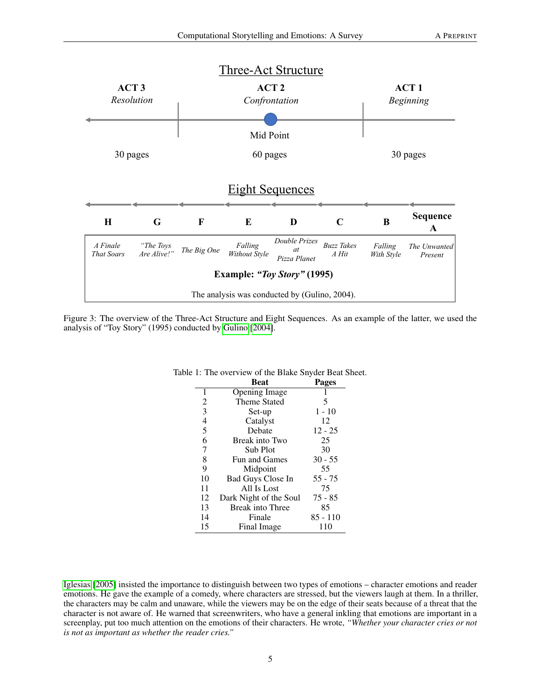<span id="page-4-0"></span>

<span id="page-4-1"></span>Figure 3: The overview of the Three-Act Structure and Eight Sequences. As an example of the latter, we used the analysis of "Toy Story" (1995) conducted by [Gulino](#page-16-16) [\[2004\]](#page-16-16).

|    | <b>Beat</b>             | <b>Pages</b> |
|----|-------------------------|--------------|
| 1  | Opening Image           |              |
| 2  | Theme Stated            | 5            |
| 3  | Set-up                  | $1 - 10$     |
| 4  | Catalyst                | 12           |
| 5  | Debate                  | $12 - 25$    |
| 6  | Break into Two          | 25           |
| 7  | Sub Plot                | 30           |
| 8  | Fun and Games           | $30 - 55$    |
| 9  | Midpoint                | 55           |
| 10 | Bad Guys Close In       | $55 - 75$    |
| 11 | All Is Lost             | 75           |
| 12 | Dark Night of the Soul  | $75 - 85$    |
| 13 | <b>Break into Three</b> | 85           |
| 14 | Finale                  | 85 - 110     |
| 15 | Final Image             | 110          |

#### Table 1: The overview of the Blake Snyder Beat Sheet.

[Iglesias](#page-16-18) [\[2005\]](#page-16-18) insisted the importance to distinguish between two types of emotions – character emotions and reader emotions. He gave the example of a comedy, where characters are stressed, but the viewers laugh at them. In a thriller, the characters may be calm and unaware, while the viewers may be on the edge of their seats because of a threat that the character is not aware of. He warned that screenwriters, who have a general inkling that emotions are important in a screenplay, put too much attention on the emotions of their characters. He wrote, *"Whether your character cries or not is not as important as whether the reader cries."*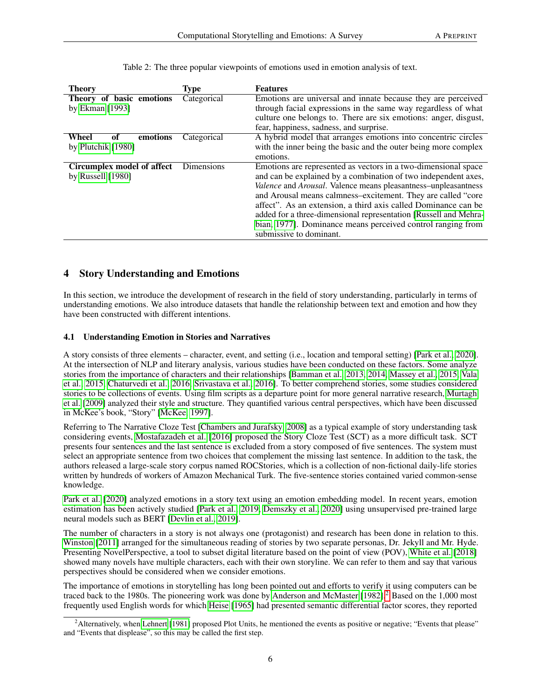<span id="page-5-2"></span>

| <b>Theory</b>              | Type        | <b>Features</b>                                                  |
|----------------------------|-------------|------------------------------------------------------------------|
| Theory of basic emotions   | Categorical | Emotions are universal and innate because they are perceived     |
| by Ekman [1993]            |             | through facial expressions in the same way regardless of what    |
|                            |             | culture one belongs to. There are six emotions: anger, disgust,  |
|                            |             | fear, happiness, sadness, and surprise.                          |
| Wheel<br>emotions<br>оf    | Categorical | A hybrid model that arranges emotions into concentric circles    |
| by Plutchik [1980]         |             | with the inner being the basic and the outer being more complex  |
|                            |             | emotions.                                                        |
| Circumplex model of affect | Dimensions  | Emotions are represented as vectors in a two-dimensional space   |
| by Russell $[1980]$        |             | and can be explained by a combination of two independent axes,   |
|                            |             | Valence and Arousal. Valence means pleasantness-unpleasantness   |
|                            |             | and Arousal means calmness-excitement. They are called "core     |
|                            |             | affect". As an extension, a third axis called Dominance can be   |
|                            |             | added for a three-dimensional representation [Russell and Mehra- |
|                            |             | bian, 1977]. Dominance means perceived control ranging from      |
|                            |             | submissive to dominant.                                          |

Table 2: The three popular viewpoints of emotions used in emotion analysis of text.

## <span id="page-5-0"></span>4 Story Understanding and Emotions

In this section, we introduce the development of research in the field of story understanding, particularly in terms of understanding emotions. We also introduce datasets that handle the relationship between text and emotion and how they have been constructed with different intentions.

#### <span id="page-5-3"></span>4.1 Understanding Emotion in Stories and Narratives

A story consists of three elements – character, event, and setting (i.e., location and temporal setting) [\[Park et al., 2020\]](#page-16-23). At the intersection of NLP and literary analysis, various studies have been conducted on these factors. Some analyze stories from the importance of characters and their relationships [\[Bamman et al., 2013,](#page-17-0) [2014,](#page-15-12) [Massey et al., 2015,](#page-17-1) [Vala](#page-15-13) [et al., 2015,](#page-15-13) [Chaturvedi et al., 2016,](#page-17-2) [Srivastava et al., 2016\]](#page-17-3). To better comprehend stories, some studies considered stories to be collections of events. Using film scripts as a departure point for more general narrative research, [Murtagh](#page-17-4) [et al.](#page-17-4) [\[2009\]](#page-17-4) analyzed their style and structure. They quantified various central perspectives, which have been discussed in McKee's book, "Story" [\[McKee, 1997\]](#page-17-5).

Referring to The Narrative Cloze Test [\[Chambers and Jurafsky, 2008\]](#page-17-6) as a typical example of story understanding task considering events, [Mostafazadeh et al.](#page-17-7) [\[2016\]](#page-17-7) proposed the Story Cloze Test (SCT) as a more difficult task. SCT presents four sentences and the last sentence is excluded from a story composed of five sentences. The system must select an appropriate sentence from two choices that complement the missing last sentence. In addition to the task, the authors released a large-scale story corpus named ROCStories, which is a collection of non-fictional daily-life stories written by hundreds of workers of Amazon Mechanical Turk. The five-sentence stories contained varied common-sense knowledge.

[Park et al.](#page-16-23) [\[2020\]](#page-16-23) analyzed emotions in a story text using an emotion embedding model. In recent years, emotion estimation has been actively studied [\[Park et al., 2019,](#page-17-8) [Demszky et al., 2020\]](#page-17-9) using unsupervised pre-trained large neural models such as BERT [\[Devlin et al., 2019\]](#page-17-10).

The number of characters in a story is not always one (protagonist) and research has been done in relation to this. [Winston](#page-17-11) [\[2011\]](#page-17-11) arranged for the simultaneous reading of stories by two separate personas, Dr. Jekyll and Mr. Hyde. Presenting NovelPerspective, a tool to subset digital literature based on the point of view (POV), [White et al.](#page-17-12) [\[2018\]](#page-17-12) showed many novels have multiple characters, each with their own storyline. We can refer to them and say that various perspectives should be considered when we consider emotions.

The importance of emotions in storytelling has long been pointed out and efforts to verify it using computers can be traced back to the 1980s. The pioneering work was done by [Anderson and McMaster](#page-15-0) [\[1982\]](#page-15-0).<sup>[2](#page-5-1)</sup> Based on the 1,000 most frequently used English words for which [Heise](#page-17-13) [\[1965\]](#page-17-13) had presented semantic differential factor scores, they reported

<span id="page-5-1"></span><sup>&</sup>lt;sup>2</sup>Alternatively, when [Lehnert](#page-17-14) [\[1981\]](#page-17-14) proposed Plot Units, he mentioned the events as positive or negative; "Events that please" and "Events that displease", so this may be called the first step.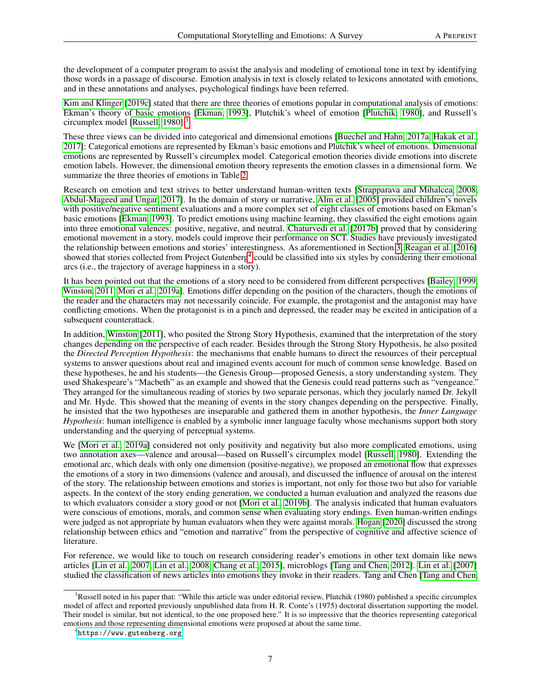the development of a computer program to assist the analysis and modeling of emotional tone in text by identifying those words in a passage of discourse. Emotion analysis in text is closely related to lexicons annotated with emotions, and in these annotations and analyses, psychological findings have been referred.

[Kim and Klinger](#page-16-6) [\[2019c\]](#page-16-6) stated that there are three theories of emotions popular in computational analysis of emotions: Ekman's theory of basic emotions [\[Ekman, 1993\]](#page-16-19), Plutchik's wheel of emotion [\[Plutchik, 1980\]](#page-16-20), and Russell's circumplex model [\[Russell, 1980\]](#page-16-21).[3](#page-6-0)

These three views can be divided into categorical and dimensional emotions [\[Buechel and Hahn, 2017a,](#page-17-15) [Hakak et al.,](#page-17-16) [2017\]](#page-17-16): Categorical emotions are represented by Ekman's basic emotions and Plutchik's wheel of emotions. Dimensional emotions are represented by Russell's circumplex model. Categorical emotion theories divide emotions into discrete emotion labels. However, the dimensional emotion theory represents the emotion classes in a dimensional form. We summarize the three theories of emotions in Table [2.](#page-5-2)

Research on emotion and text strives to better understand human-written texts [\[Strapparava and Mihalcea, 2008,](#page-15-1) [Abdul-Mageed and Ungar, 2017\]](#page-15-2). In the domain of story or narrative, [Alm et al.](#page-17-17) [\[2005\]](#page-17-17) provided children's novels with positive/negative sentiment evaluations and a more complex set of eight classes of emotions based on Ekman's basic emotions [\[Ekman, 1993\]](#page-16-19). To predict emotions using machine learning, they classified the eight emotions again into three emotional valences: positive, negative, and neutral. [Chaturvedi et al.](#page-17-18) [\[2017b\]](#page-17-18) proved that by considering emotional movement in a story, models could improve their performance on SCT. Studies have previously investigated the relationship between emotions and stories' interestingness. As aforementioned in Section [3,](#page-3-0) [Reagan et al.](#page-15-8) [\[2016\]](#page-15-8) showed that stories collected from Project Gutenberg<sup>[4](#page-6-1)</sup> could be classified into six styles by considering their emotional arcs (i.e., the trajectory of average happiness in a story).

It has been pointed out that the emotions of a story need to be considered from different perspectives [\[Bailey, 1999,](#page-17-19) [Winston, 2011,](#page-17-11) [Mori et al., 2019a\]](#page-15-16). Emotions differ depending on the position of the characters, though the emotions of the reader and the characters may not necessarily coincide. For example, the protagonist and the antagonist may have conflicting emotions. When the protagonist is in a pinch and depressed, the reader may be excited in anticipation of a subsequent counterattack.

In addition, [Winston](#page-17-11) [\[2011\]](#page-17-11), who posited the Strong Story Hypothesis, examined that the interpretation of the story changes depending on the perspective of each reader. Besides through the Strong Story Hypothesis, he also posited the *Directed Perception Hypothesis*: the mechanisms that enable humans to direct the resources of their perceptual systems to answer questions about real and imagined events account for much of common sense knowledge. Based on these hypotheses, he and his students—the Genesis Group—proposed Genesis, a story understanding system. They used Shakespeare's "Macbeth" as an example and showed that the Genesis could read patterns such as "vengeance." They arranged for the simultaneous reading of stories by two separate personas, which they jocularly named Dr. Jekyll and Mr. Hyde. This showed that the meaning of events in the story changes depending on the perspective. Finally, he insisted that the two hypotheses are inseparable and gathered them in another hypothesis, the *Inner Language Hypothesis*: human intelligence is enabled by a symbolic inner language faculty whose mechanisms support both story understanding and the querying of perceptual systems.

We [\[Mori et al., 2019a\]](#page-15-16) considered not only positivity and negativity but also more complicated emotions, using two annotation axes—valence and arousal—based on Russell's circumplex model [\[Russell, 1980\]](#page-16-21). Extending the emotional arc, which deals with only one dimension (positive-negative), we proposed an emotional flow that expresses the emotions of a story in two dimensions (valence and arousal), and discussed the influence of arousal on the interest of the story. The relationship between emotions and stories is important, not only for those two but also for variable aspects. In the context of the story ending generation, we conducted a human evaluation and analyzed the reasons due to which evaluators consider a story good or not [\[Mori et al., 2019b\]](#page-17-20). The analysis indicated that human evaluators were conscious of emotions, morals, and common sense when evaluating story endings. Even human-written endings were judged as not appropriate by human evaluators when they were against morals. [Hogan](#page-18-0) [\[2020\]](#page-18-0) discussed the strong relationship between ethics and "emotion and narrative" from the perspective of cognitive and affective science of literature.

For reference, we would like to touch on research considering reader's emotions in other text domain like news articles [\[Lin et al., 2007,](#page-18-1) [Lin et al., 2008,](#page-18-2) [Chang et al., 2015\]](#page-18-3), microblogs [\[Tang and Chen, 2012\]](#page-18-4). [Lin et al.](#page-18-1) [\[2007\]](#page-18-1) studied the classification of news articles into emotions they invoke in their readers. Tang and Chen [\[Tang and Chen,](#page-18-4)

<span id="page-6-0"></span> $3R$ ussell noted in his paper that: "While this article was under editorial review, Plutchik (1980) published a specific circumplex model of affect and reported previously unpublished data from H. R. Conte's (1975) doctoral dissertation supporting the model. Their model is similar, but not identical, to the one proposed here." It is so impressive that the theories representing categorical emotions and those representing dimensional emotions were proposed at about the same time.

<span id="page-6-1"></span><sup>4</sup> <https://www.gutenberg.org>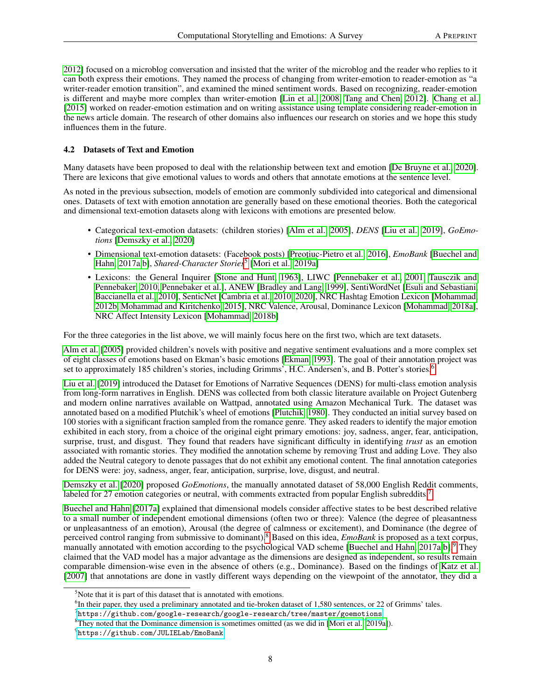[2012\]](#page-18-4) focused on a microblog conversation and insisted that the writer of the microblog and the reader who replies to it can both express their emotions. They named the process of changing from writer-emotion to reader-emotion as "a writer-reader emotion transition", and examined the mined sentiment words. Based on recognizing, reader-emotion is different and maybe more complex than writer-emotion [\[Lin et al., 2008,](#page-18-2) [Tang and Chen, 2012\]](#page-18-4). [Chang et al.](#page-18-3) [\[2015\]](#page-18-3) worked on reader-emotion estimation and on writing assistance using template considering reader-emotion in the news article domain. The research of other domains also influences our research on stories and we hope this study influences them in the future.

#### <span id="page-7-5"></span>4.2 Datasets of Text and Emotion

Many datasets have been proposed to deal with the relationship between text and emotion [\[De Bruyne et al., 2020\]](#page-18-5). There are lexicons that give emotional values to words and others that annotate emotions at the sentence level.

As noted in the previous subsection, models of emotion are commonly subdivided into categorical and dimensional ones. Datasets of text with emotion annotation are generally based on these emotional theories. Both the categorical and dimensional text-emotion datasets along with lexicons with emotions are presented below.

- Categorical text-emotion datasets: (children stories) [\[Alm et al., 2005\]](#page-17-17), *DENS* [\[Liu et al., 2019\]](#page-18-6), *GoEmotions* [\[Demszky et al., 2020\]](#page-17-9)
- Dimensional text-emotion datasets: (Facebook posts) [Preotiuc-Pietro et al., 2016], *EmoBank* [\[Buechel and](#page-17-15) [Hahn, 2017a](#page-17-15)[,b\]](#page-18-8), *Shared-Character Stories*[5](#page-7-0) [\[Mori et al., 2019a\]](#page-15-16)
- Lexicons: the General Inquirer [\[Stone and Hunt, 1963\]](#page-18-9), LIWC [\[Pennebaker et al., 2001,](#page-18-10) [Tausczik and](#page-18-11) [Pennebaker, 2010,](#page-18-11) [Pennebaker et al.\]](#page-18-12), ANEW [\[Bradley and Lang, 1999\]](#page-18-13), SentiWordNet [\[Esuli and Sebastiani,](#page-18-14) [Baccianella et al., 2010\]](#page-18-15), SenticNet [\[Cambria et al., 2010,](#page-18-16) [2020\]](#page-18-17), NRC Hashtag Emotion Lexicon [\[Mohammad,](#page-18-18) [2012b,](#page-18-18) [Mohammad and Kiritchenko, 2015\]](#page-18-19), NRC Valence, Arousal, Dominance Lexicon [\[Mohammad, 2018a\]](#page-19-0), NRC Affect Intensity Lexicon [\[Mohammad, 2018b\]](#page-19-1)

For the three categories in the list above, we will mainly focus here on the first two, which are text datasets.

[Alm et al.](#page-17-17) [\[2005\]](#page-17-17) provided children's novels with positive and negative sentiment evaluations and a more complex set of eight classes of emotions based on Ekman's basic emotions [\[Ekman, 1993\]](#page-16-19). The goal of their annotation project was set to approximately 185 children's stories, including Grimms', H.C. Andersen's, and B. Potter's stories.<sup>[6](#page-7-1)</sup>

[Liu et al.](#page-18-6) [\[2019\]](#page-18-6) introduced the Dataset for Emotions of Narrative Sequences (DENS) for multi-class emotion analysis from long-form narratives in English. DENS was collected from both classic literature available on Project Gutenberg and modern online narratives available on Wattpad, annotated using Amazon Mechanical Turk. The dataset was annotated based on a modified Plutchik's wheel of emotions [\[Plutchik, 1980\]](#page-16-20). They conducted an initial survey based on 100 stories with a significant fraction sampled from the romance genre. They asked readers to identify the major emotion exhibited in each story, from a choice of the original eight primary emotions: joy, sadness, anger, fear, anticipation, surprise, trust, and disgust. They found that readers have significant difficulty in identifying *trust* as an emotion associated with romantic stories. They modified the annotation scheme by removing Trust and adding Love. They also added the Neutral category to denote passages that do not exhibit any emotional content. The final annotation categories for DENS were: joy, sadness, anger, fear, anticipation, surprise, love, disgust, and neutral.

[Demszky et al.](#page-17-9) [\[2020\]](#page-17-9) proposed *GoEmotions*, the manually annotated dataset of 58,000 English Reddit comments, labeled for 2[7](#page-7-2) emotion categories or neutral, with comments extracted from popular English subreddits.<sup>7</sup>

[Buechel and Hahn](#page-17-15) [\[2017a\]](#page-17-15) explained that dimensional models consider affective states to be best described relative to a small number of independent emotional dimensions (often two or three): Valence (the degree of pleasantness or unpleasantness of an emotion), Arousal (the degree of calmness or excitement), and Dominance (the degree of perceived control ranging from submissive to dominant).[8](#page-7-3) Based on this idea, *EmoBank* is proposed as a text corpus, manually annotated with emotion according to the psychological VAD scheme [\[Buechel and Hahn, 2017a,](#page-17-15)[b\]](#page-18-8).<sup>[9](#page-7-4)</sup> They claimed that the VAD model has a major advantage as the dimensions are designed as independent, so results remain comparable dimension-wise even in the absence of others (e.g., Dominance). Based on the findings of [Katz et al.](#page-19-2) [\[2007\]](#page-19-2) that annotations are done in vastly different ways depending on the viewpoint of the annotator, they did a

<span id="page-7-0"></span> $5$ Note that it is part of this dataset that is annotated with emotions.

<span id="page-7-1"></span><sup>&</sup>lt;sup>6</sup>In their paper, they used a preliminary annotated and tie-broken dataset of 1,580 sentences, or 22 of Grimms' tales.

<span id="page-7-2"></span> $^{7}$ <https://github.com/google-research/google-research/tree/master/goemotions>

<span id="page-7-3"></span><sup>&</sup>lt;sup>8</sup>They noted that the Dominance dimension is sometimes omitted (as we did in [\[Mori et al., 2019a\]](#page-15-16)).

<span id="page-7-4"></span> $^{9}$ <https://github.com/JULIELab/EmoBank>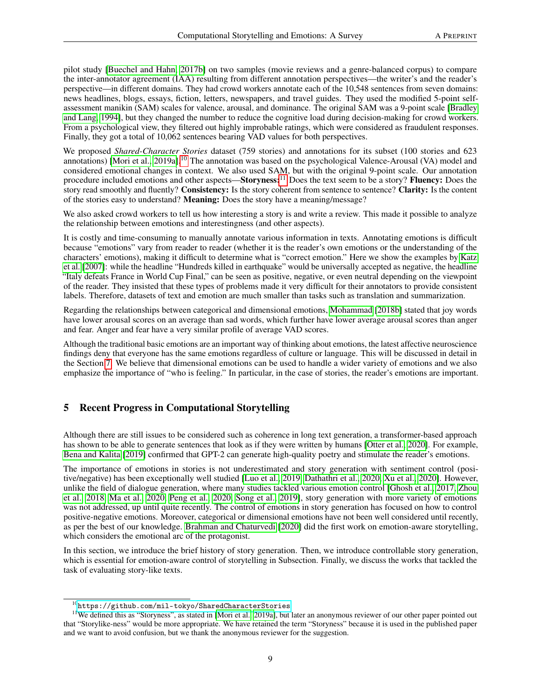pilot study [\[Buechel and Hahn, 2017b\]](#page-18-8) on two samples (movie reviews and a genre-balanced corpus) to compare the inter-annotator agreement (IAA) resulting from different annotation perspectives—the writer's and the reader's perspective—in different domains. They had crowd workers annotate each of the 10,548 sentences from seven domains: news headlines, blogs, essays, fiction, letters, newspapers, and travel guides. They used the modified 5-point selfassessment manikin (SAM) scales for valence, arousal, and dominance. The original SAM was a 9-point scale [\[Bradley](#page-19-3) [and Lang, 1994\]](#page-19-3), but they changed the number to reduce the cognitive load during decision-making for crowd workers. From a psychological view, they filtered out highly improbable ratings, which were considered as fraudulent responses. Finally, they got a total of 10,062 sentences bearing VAD values for both perspectives.

We proposed *Shared-Character Stories* dataset (759 stories) and annotations for its subset (100 stories and 623 annotations) [\[Mori et al., 2019a\]](#page-15-16).<sup>[10](#page-8-1)</sup> The annotation was based on the psychological Valence-Arousal (VA) model and considered emotional changes in context. We also used SAM, but with the original 9-point scale. Our annotation procedure included emotions and other aspects—Storyness:<sup>[11](#page-8-2)</sup> Does the text seem to be a story? Fluency: Does the story read smoothly and fluently? Consistency: Is the story coherent from sentence to sentence? Clarity: Is the content of the stories easy to understand? Meaning: Does the story have a meaning/message?

We also asked crowd workers to tell us how interesting a story is and write a review. This made it possible to analyze the relationship between emotions and interestingness (and other aspects).

It is costly and time-consuming to manually annotate various information in texts. Annotating emotions is difficult because "emotions" vary from reader to reader (whether it is the reader's own emotions or the understanding of the characters' emotions), making it difficult to determine what is "correct emotion." Here we show the examples by [Katz](#page-19-2) [et al.](#page-19-2) [\[2007\]](#page-19-2): while the headline "Hundreds killed in earthquake" would be universally accepted as negative, the headline "Italy defeats France in World Cup Final," can be seen as positive, negative, or even neutral depending on the viewpoint of the reader. They insisted that these types of problems made it very difficult for their annotators to provide consistent labels. Therefore, datasets of text and emotion are much smaller than tasks such as translation and summarization.

Regarding the relationships between categorical and dimensional emotions, [Mohammad](#page-19-1) [\[2018b\]](#page-19-1) stated that joy words have lower arousal scores on an average than sad words, which further have lower average arousal scores than anger and fear. Anger and fear have a very similar profile of average VAD scores.

Although the traditional basic emotions are an important way of thinking about emotions, the latest affective neuroscience findings deny that everyone has the same emotions regardless of culture or language. This will be discussed in detail in the Section [7.](#page-12-0) We believe that dimensional emotions can be used to handle a wider variety of emotions and we also emphasize the importance of "who is feeling." In particular, in the case of stories, the reader's emotions are important.

# <span id="page-8-0"></span>5 Recent Progress in Computational Storytelling

Although there are still issues to be considered such as coherence in long text generation, a transformer-based approach has shown to be able to generate sentences that look as if they were written by humans [\[Otter et al., 2020\]](#page-19-4). For example, [Bena and Kalita](#page-19-5) [\[2019\]](#page-19-5) confirmed that GPT-2 can generate high-quality poetry and stimulate the reader's emotions.

The importance of emotions in stories is not underestimated and story generation with sentiment control (positive/negative) has been exceptionally well studied [\[Luo et al., 2019,](#page-16-0) [Dathathri et al., 2020,](#page-16-2) [Xu et al., 2020\]](#page-16-3). However, unlike the field of dialogue generation, where many studies tackled various emotion control [\[Ghosh et al., 2017,](#page-19-6) [Zhou](#page-19-7) [et al., 2018,](#page-19-7) [Ma et al., 2020,](#page-19-8) [Peng et al., 2020,](#page-19-9) [Song et al., 2019\]](#page-19-10), story generation with more variety of emotions was not addressed, up until quite recently. The control of emotions in story generation has focused on how to control positive-negative emotions. Moreover, categorical or dimensional emotions have not been well considered until recently, as per the best of our knowledge. [Brahman and Chaturvedi](#page-16-1) [\[2020\]](#page-16-1) did the first work on emotion-aware storytelling, which considers the emotional arc of the protagonist.

In this section, we introduce the brief history of story generation. Then, we introduce controllable story generation, which is essential for emotion-aware control of storytelling in Subsection. Finally, we discuss the works that tackled the task of evaluating story-like texts.

<span id="page-8-2"></span><span id="page-8-1"></span> $^{10}$  <https://github.com/mil-tokyo/SharedCharacterStories>

<sup>&</sup>lt;sup>11</sup>We defined this as "Storyness", as stated in [\[Mori et al., 2019a\]](#page-15-16), but later an anonymous reviewer of our other paper pointed out that "Storylike-ness" would be more appropriate. We have retained the term "Storyness" because it is used in the published paper and we want to avoid confusion, but we thank the anonymous reviewer for the suggestion.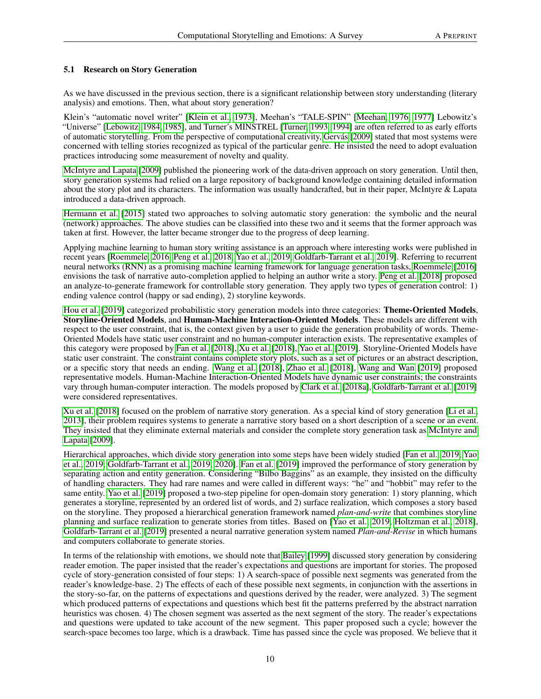#### 5.1 Research on Story Generation

As we have discussed in the previous section, there is a significant relationship between story understanding (literary analysis) and emotions. Then, what about story generation?

Klein's "automatic novel writer" [\[Klein et al., 1973\]](#page-19-11), Meehan's "TALE-SPIN" [\[Meehan, 1976,](#page-19-12) [1977\]](#page-19-13) Lebowitz's "Universe" [\[Lebowitz, 1984,](#page-19-14) [1985\]](#page-19-15), and Turner's MINSTREL [\[Turner, 1993,](#page-16-9) [1994\]](#page-16-10) are often referred to as early efforts of automatic storytelling. From the perspective of computational creativity, [Gervás](#page-19-16) [\[2009\]](#page-19-16) stated that most systems were concerned with telling stories recognized as typical of the particular genre. He insisted the need to adopt evaluation practices introducing some measurement of novelty and quality.

[McIntyre and Lapata](#page-19-17) [\[2009\]](#page-19-17) published the pioneering work of the data-driven approach on story generation. Until then, story generation systems had relied on a large repository of background knowledge containing detailed information about the story plot and its characters. The information was usually handcrafted, but in their paper, McIntyre & Lapata introduced a data-driven approach.

[Hermann et al.](#page-19-18) [\[2015\]](#page-19-18) stated two approaches to solving automatic story generation: the symbolic and the neural (network) approaches. The above studies can be classified into these two and it seems that the former approach was taken at first. However, the latter became stronger due to the progress of deep learning.

Applying machine learning to human story writing assistance is an approach where interesting works were published in recent years [\[Roemmele, 2016,](#page-19-19) [Peng et al., 2018,](#page-19-20) [Yao et al., 2019,](#page-20-0) [Goldfarb-Tarrant et al., 2019\]](#page-20-1). Referring to recurrent neural networks (RNN) as a promising machine learning framework for language generation tasks, [Roemmele](#page-19-19) [\[2016\]](#page-19-19) envisions the task of narrative auto-completion applied to helping an author write a story. [Peng et al.](#page-19-20) [\[2018\]](#page-19-20) proposed an analyze-to-generate framework for controllable story generation. They apply two types of generation control: 1) ending valence control (happy or sad ending), 2) storyline keywords.

[Hou et al.](#page-20-2) [\[2019\]](#page-20-2) categorized probabilistic story generation models into three categories: Theme-Oriented Models, Storyline-Oriented Models, and Human-Machine Interaction-Oriented Models. These models are different with respect to the user constraint, that is, the context given by a user to guide the generation probability of words. Theme-Oriented Models have static user constraint and no human-computer interaction exists. The representative examples of this category were proposed by [Fan et al.](#page-20-3) [\[2018\]](#page-20-3), [Xu et al.](#page-20-4) [\[2018\]](#page-20-4), [Yao et al.](#page-20-0) [\[2019\]](#page-20-0). Storyline-Oriented Models have static user constraint. The constraint contains complete story plots, such as a set of pictures or an abstract description, or a specific story that needs an ending. [Wang et al.](#page-20-5) [\[2018\]](#page-20-5), [Zhao et al.](#page-20-6) [\[2018\]](#page-20-6), [Wang and Wan](#page-20-7) [\[2019\]](#page-20-7) proposed representative models. Human-Machine Interaction-Oriented Models have dynamic user constraints; the constraints vary through human-computer interaction. The models proposed by [Clark et al.](#page-20-8) [\[2018a\]](#page-20-8), [Goldfarb-Tarrant et al.](#page-20-1) [\[2019\]](#page-20-1) were considered representatives.

[Xu et al.](#page-20-4) [\[2018\]](#page-20-4) focused on the problem of narrative story generation. As a special kind of story generation [\[Li et al.,](#page-20-9) [2013\]](#page-20-9), their problem requires systems to generate a narrative story based on a short description of a scene or an event. They insisted that they eliminate external materials and consider the complete story generation task as [McIntyre and](#page-19-17) [Lapata](#page-19-17) [\[2009\]](#page-19-17).

Hierarchical approaches, which divide story generation into some steps have been widely studied [\[Fan et al., 2019,](#page-20-10) [Yao](#page-20-0) [et al., 2019,](#page-20-0) [Goldfarb-Tarrant et al., 2019,](#page-20-1) [2020\]](#page-20-11). [Fan et al.](#page-20-10) [\[2019\]](#page-20-10) improved the performance of story generation by separating action and entity generation. Considering "Bilbo Baggins" as an example, they insisted on the difficulty of handling characters. They had rare names and were called in different ways: "he" and "hobbit" may refer to the same entity. [Yao et al.](#page-20-0) [\[2019\]](#page-20-0) proposed a two-step pipeline for open-domain story generation: 1) story planning, which generates a storyline, represented by an ordered list of words, and 2) surface realization, which composes a story based on the storyline. They proposed a hierarchical generation framework named *plan-and-write* that combines storyline planning and surface realization to generate stories from titles. Based on [\[Yao et al., 2019,](#page-20-0) [Holtzman et al., 2018\]](#page-20-12), [Goldfarb-Tarrant et al.](#page-20-1) [\[2019\]](#page-20-1) presented a neural narrative generation system named *Plan-and-Revise* in which humans and computers collaborate to generate stories.

In terms of the relationship with emotions, we should note that [Bailey](#page-17-19) [\[1999\]](#page-17-19) discussed story generation by considering reader emotion. The paper insisted that the reader's expectations and questions are important for stories. The proposed cycle of story-generation consisted of four steps: 1) A search-space of possible next segments was generated from the reader's knowledge-base. 2) The effects of each of these possible next segments, in conjunction with the assertions in the story-so-far, on the patterns of expectations and questions derived by the reader, were analyzed. 3) The segment which produced patterns of expectations and questions which best fit the patterns preferred by the abstract narration heuristics was chosen. 4) The chosen segment was asserted as the next segment of the story. The reader's expectations and questions were updated to take account of the new segment. This paper proposed such a cycle; however the search-space becomes too large, which is a drawback. Time has passed since the cycle was proposed. We believe that it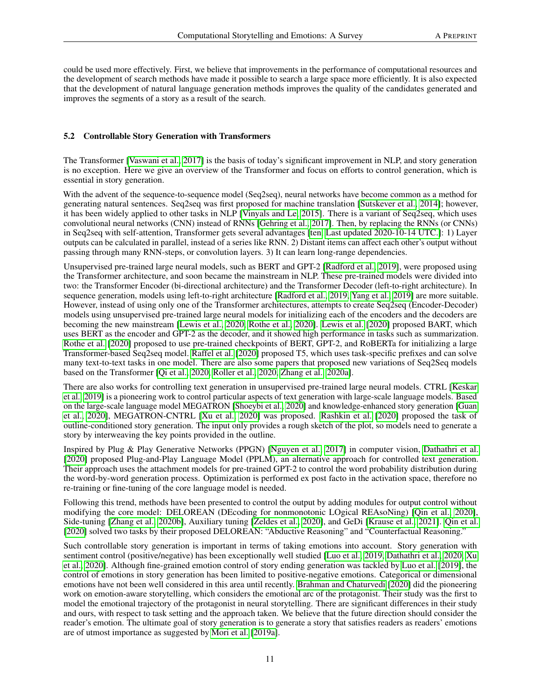could be used more effectively. First, we believe that improvements in the performance of computational resources and the development of search methods have made it possible to search a large space more efficiently. It is also expected that the development of natural language generation methods improves the quality of the candidates generated and improves the segments of a story as a result of the search.

#### 5.2 Controllable Story Generation with Transformers

The Transformer [\[Vaswani et al., 2017\]](#page-20-13) is the basis of today's significant improvement in NLP, and story generation is no exception. Here we give an overview of the Transformer and focus on efforts to control generation, which is essential in story generation.

With the advent of the sequence-to-sequence model (Seq2seq), neural networks have become common as a method for generating natural sentences. Seq2seq was first proposed for machine translation [\[Sutskever et al., 2014\]](#page-20-14); however, it has been widely applied to other tasks in NLP [\[Vinyals and Le, 2015\]](#page-20-15). There is a variant of Seq2seq, which uses convolutional neural networks (CNN) instead of RNNs [\[Gehring et al., 2017\]](#page-20-16). Then, by replacing the RNNs (or CNNs) in Seq2seq with self-attention, Transformer gets several advantages [\[ten, Last updated 2020-10-14 UTC.\]](#page-20-17): 1) Layer outputs can be calculated in parallel, instead of a series like RNN. 2) Distant items can affect each other's output without passing through many RNN-steps, or convolution layers. 3) It can learn long-range dependencies.

Unsupervised pre-trained large neural models, such as BERT and GPT-2 [\[Radford et al., 2019\]](#page-20-18), were proposed using the Transformer architecture, and soon became the mainstream in NLP. These pre-trained models were divided into two: the Transformer Encoder (bi-directional architecture) and the Transformer Decoder (left-to-right architecture). In sequence generation, models using left-to-right architecture [\[Radford et al., 2019,](#page-20-18) [Yang et al., 2019\]](#page-21-0) are more suitable. However, instead of using only one of the Transformer architectures, attempts to create Seq2seq (Encoder-Decoder) models using unsupervised pre-trained large neural models for initializing each of the encoders and the decoders are becoming the new mainstream [\[Lewis et al., 2020,](#page-21-1) [Rothe et al., 2020\]](#page-21-2). [Lewis et al.](#page-21-1) [\[2020\]](#page-21-1) proposed BART, which uses BERT as the encoder and GPT-2 as the decoder, and it showed high performance in tasks such as summarization. [Rothe et al.](#page-21-2) [\[2020\]](#page-21-2) proposed to use pre-trained checkpoints of BERT, GPT-2, and RoBERTa for initializing a large Transformer-based Seq2seq model. [Raffel et al.](#page-21-3) [\[2020\]](#page-21-3) proposed T5, which uses task-specific prefixes and can solve many text-to-text tasks in one model. There are also some papers that proposed new variations of Seq2Seq models based on the Transformer [\[Qi et al., 2020,](#page-21-4) [Roller et al., 2020,](#page-21-5) [Zhang et al., 2020a\]](#page-21-6).

There are also works for controlling text generation in unsupervised pre-trained large neural models. CTRL [\[Keskar](#page-21-7) [et al., 2019\]](#page-21-7) is a pioneering work to control particular aspects of text generation with large-scale language models. Based on the large-scale language model MEGATRON [\[Shoeybi et al., 2020\]](#page-21-8) and knowledge-enhanced story generation [\[Guan](#page-21-9) [et al., 2020\]](#page-21-9), MEGATRON-CNTRL [\[Xu et al., 2020\]](#page-16-3) was proposed. [Rashkin et al.](#page-21-10) [\[2020\]](#page-21-10) proposed the task of outline-conditioned story generation. The input only provides a rough sketch of the plot, so models need to generate a story by interweaving the key points provided in the outline.

Inspired by Plug & Play Generative Networks (PPGN) [\[Nguyen et al., 2017\]](#page-21-11) in computer vision, [Dathathri et al.](#page-16-2) [\[2020\]](#page-16-2) proposed Plug-and-Play Language Model (PPLM), an alternative approach for controlled text generation. Their approach uses the attachment models for pre-trained GPT-2 to control the word probability distribution during the word-by-word generation process. Optimization is performed ex post facto in the activation space, therefore no re-training or fine-tuning of the core language model is needed.

Following this trend, methods have been presented to control the output by adding modules for output control without modifying the core model: DELOREAN (DEcoding for nonmonotonic LOgical REAsoNing) [\[Qin et al., 2020\]](#page-21-12), Side-tuning [\[Zhang et al., 2020b\]](#page-21-13), Auxiliary tuning [\[Zeldes et al., 2020\]](#page-21-14), and GeDi [\[Krause et al., 2021\]](#page-21-15). [Qin et al.](#page-21-12) [\[2020\]](#page-21-12) solved two tasks by their proposed DELOREAN: "Abductive Reasoning" and "Counterfactual Reasoning."

Such controllable story generation is important in terms of taking emotions into account. Story generation with sentiment control (positive/negative) has been exceptionally well studied [\[Luo et al., 2019,](#page-16-0) [Dathathri et al., 2020,](#page-16-2) [Xu](#page-16-3) [et al., 2020\]](#page-16-3). Although fine-grained emotion control of story ending generation was tackled by [Luo et al.](#page-16-0) [\[2019\]](#page-16-0), the control of emotions in story generation has been limited to positive-negative emotions. Categorical or dimensional emotions have not been well considered in this area until recently. [Brahman and Chaturvedi](#page-16-1) [\[2020\]](#page-16-1) did the pioneering work on emotion-aware storytelling, which considers the emotional arc of the protagonist. Their study was the first to model the emotional trajectory of the protagonist in neural storytelling. There are significant differences in their study and ours, with respect to task setting and the approach taken. We believe that the future direction should consider the reader's emotion. The ultimate goal of story generation is to generate a story that satisfies readers as readers' emotions are of utmost importance as suggested by [Mori et al.](#page-15-16) [\[2019a\]](#page-15-16).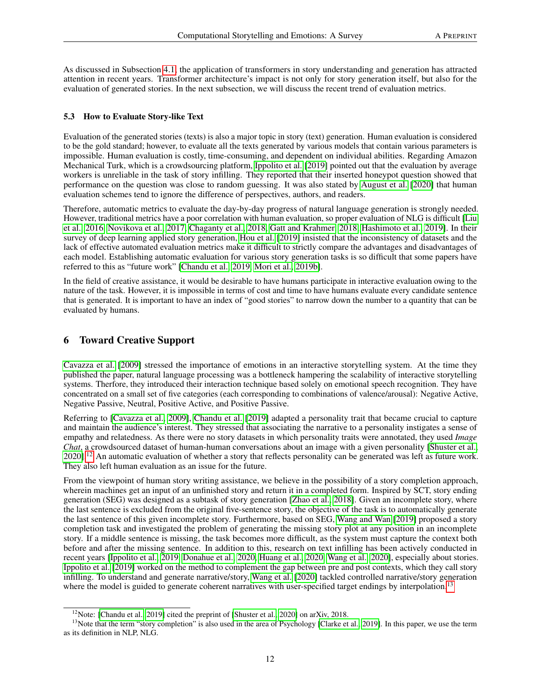As discussed in Subsection [4.1,](#page-5-3) the application of transformers in story understanding and generation has attracted attention in recent years. Transformer architecture's impact is not only for story generation itself, but also for the evaluation of generated stories. In the next subsection, we will discuss the recent trend of evaluation metrics.

### 5.3 How to Evaluate Story-like Text

Evaluation of the generated stories (texts) is also a major topic in story (text) generation. Human evaluation is considered to be the gold standard; however, to evaluate all the texts generated by various models that contain various parameters is impossible. Human evaluation is costly, time-consuming, and dependent on individual abilities. Regarding Amazon Mechanical Turk, which is a crowdsourcing platform, [Ippolito et al.](#page-21-16) [\[2019\]](#page-21-16) pointed out that the evaluation by average workers is unreliable in the task of story infilling. They reported that their inserted honeypot question showed that performance on the question was close to random guessing. It was also stated by [August et al.](#page-21-17) [\[2020\]](#page-21-17) that human evaluation schemes tend to ignore the difference of perspectives, authors, and readers.

Therefore, automatic metrics to evaluate the day-by-day progress of natural language generation is strongly needed. However, traditional metrics have a poor correlation with human evaluation, so proper evaluation of NLG is difficult [\[Liu](#page-21-18) [et al., 2016,](#page-21-18) [Novikova et al., 2017,](#page-22-0) [Chaganty et al., 2018,](#page-22-1) [Gatt and Krahmer, 2018,](#page-22-2) [Hashimoto et al., 2019\]](#page-22-3). In their survey of deep learning applied story generation, [Hou et al.](#page-20-2) [\[2019\]](#page-20-2) insisted that the inconsistency of datasets and the lack of effective automated evaluation metrics make it difficult to strictly compare the advantages and disadvantages of each model. Establishing automatic evaluation for various story generation tasks is so difficult that some papers have referred to this as "future work" [\[Chandu et al., 2019,](#page-15-17) [Mori et al., 2019b\]](#page-17-20).

In the field of creative assistance, it would be desirable to have humans participate in interactive evaluation owing to the nature of the task. However, it is impossible in terms of cost and time to have humans evaluate every candidate sentence that is generated. It is important to have an index of "good stories" to narrow down the number to a quantity that can be evaluated by humans.

# <span id="page-11-0"></span>6 Toward Creative Support

[Cavazza et al.](#page-22-4) [\[2009\]](#page-22-4) stressed the importance of emotions in an interactive storytelling system. At the time they published the paper, natural language processing was a bottleneck hampering the scalability of interactive storytelling systems. Therfore, they introduced their interaction technique based solely on emotional speech recognition. They have concentrated on a small set of five categories (each corresponding to combinations of valence/arousal): Negative Active, Negative Passive, Neutral, Positive Active, and Positive Passive.

Referring to [\[Cavazza et al., 2009\]](#page-22-4), [Chandu et al.](#page-15-17) [\[2019\]](#page-15-17) adapted a personality trait that became crucial to capture and maintain the audience's interest. They stressed that associating the narrative to a personality instigates a sense of empathy and relatedness. As there were no story datasets in which personality traits were annotated, they used *Image Chat*, a crowdsourced dataset of human-human conversations about an image with a given personality [\[Shuster et al.,](#page-22-5) [2020\]](#page-22-5).<sup>[12](#page-11-1)</sup> An automatic evaluation of whether a story that reflects personality can be generated was left as future work. They also left human evaluation as an issue for the future.

From the viewpoint of human story writing assistance, we believe in the possibility of a story completion approach, wherein machines get an input of an unfinished story and return it in a completed form. Inspired by SCT, story ending generation (SEG) was designed as a subtask of story generation [\[Zhao et al., 2018\]](#page-20-6). Given an incomplete story, where the last sentence is excluded from the original five-sentence story, the objective of the task is to automatically generate the last sentence of this given incomplete story. Furthermore, based on SEG, [Wang and Wan](#page-20-7) [\[2019\]](#page-20-7) proposed a story completion task and investigated the problem of generating the missing story plot at any position in an incomplete story. If a middle sentence is missing, the task becomes more difficult, as the system must capture the context both before and after the missing sentence. In addition to this, research on text infilling has been actively conducted in recent years [\[Ippolito et al., 2019,](#page-21-16) [Donahue et al., 2020,](#page-22-6) [Huang et al., 2020,](#page-22-7) [Wang et al., 2020\]](#page-22-8), especially about stories. [Ippolito et al.](#page-21-16) [\[2019\]](#page-21-16) worked on the method to complement the gap between pre and post contexts, which they call story infilling. To understand and generate narrative/story, [Wang et al.](#page-22-8) [\[2020\]](#page-22-8) tackled controlled narrative/story generation where the model is guided to generate coherent narratives with user-specified target endings by interpolation.<sup>[13](#page-11-2)</sup>

<span id="page-11-2"></span><span id="page-11-1"></span><sup>&</sup>lt;sup>12</sup>Note: [\[Chandu et al., 2019\]](#page-15-17) cited the preprint of [\[Shuster et al., 2020\]](#page-22-5) on arXiv, 2018.

<sup>&</sup>lt;sup>13</sup>Note that the term "story completion" is also used in the area of Psychology [\[Clarke et al., 2019\]](#page-22-9). In this paper, we use the term as its definition in NLP, NLG.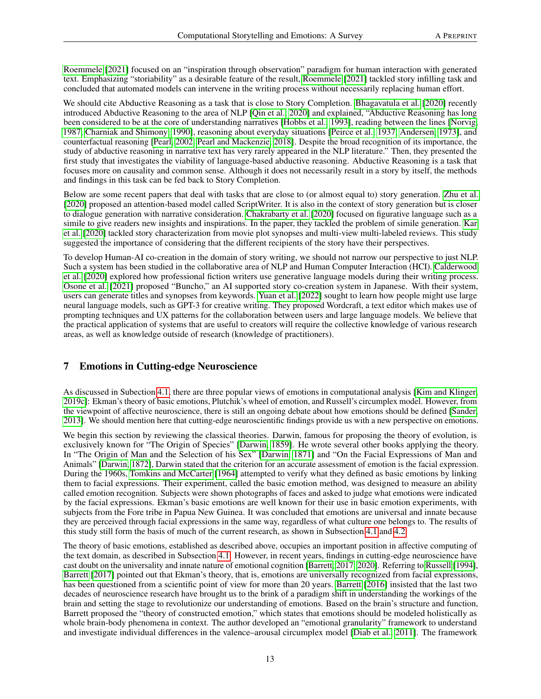[Roemmele](#page-22-10) [\[2021\]](#page-22-10) focused on an "inspiration through observation" paradigm for human interaction with generated text. Emphasizing "storiability" as a desirable feature of the result, [Roemmele](#page-22-10) [\[2021\]](#page-22-10) tackled story infilling task and concluded that automated models can intervene in the writing process without necessarily replacing human effort.

We should cite Abductive Reasoning as a task that is close to Story Completion. [Bhagavatula et al.](#page-22-11) [\[2020\]](#page-22-11) recently introduced Abductive Reasoning to the area of NLP [\[Qin et al., 2020\]](#page-21-12) and explained, "Abductive Reasoning has long been considered to be at the core of understanding narratives [\[Hobbs et al., 1993\]](#page-22-12), reading between the lines [\[Norvig,](#page-22-13) [1987,](#page-22-13) [Charniak and Shimony, 1990\]](#page-22-14), reasoning about everyday situations [\[Peirce et al., 1937,](#page-22-15) [Andersen, 1973\]](#page-22-16), and counterfactual reasoning [\[Pearl, 2002,](#page-22-17) [Pearl and Mackenzie, 2018\]](#page-22-18). Despite the broad recognition of its importance, the study of abductive reasoning in narrative text has very rarely appeared in the NLP literature." Then, they presented the first study that investigates the viability of language-based abductive reasoning. Abductive Reasoning is a task that focuses more on causality and common sense. Although it does not necessarily result in a story by itself, the methods and findings in this task can be fed back to Story Completion.

Below are some recent papers that deal with tasks that are close to (or almost equal to) story generation. [Zhu et al.](#page-22-19) [\[2020\]](#page-22-19) proposed an attention-based model called ScriptWriter. It is also in the context of story generation but is closer to dialogue generation with narrative consideration. [Chakrabarty et al.](#page-22-20) [\[2020\]](#page-22-20) focused on figurative language such as a simile to give readers new insights and inspirations. In the paper, they tackled the problem of simile generation. [Kar](#page-23-0) [et al.](#page-23-0) [\[2020\]](#page-23-0) tackled story characterization from movie plot synopses and multi-view multi-labeled reviews. This study suggested the importance of considering that the different recipients of the story have their perspectives.

To develop Human-AI co-creation in the domain of story writing, we should not narrow our perspective to just NLP. Such a system has been studied in the collaborative area of NLP and Human Computer Interaction (HCI). [Calderwood](#page-23-1) [et al.](#page-23-1) [\[2020\]](#page-23-1) explored how professional fiction writers use generative language models during their writing process. [Osone et al.](#page-23-2) [\[2021\]](#page-23-2) proposed "Buncho," an AI supported story co-creation system in Japanese. With their system, users can generate titles and synopses from keywords. [Yuan et al.](#page-23-3) [\[2022\]](#page-23-3) sought to learn how people might use large neural language models, such as GPT-3 for creative writing. They proposed Wordcraft, a text editor which makes use of prompting techniques and UX patterns for the collaboration between users and large language models. We believe that the practical application of systems that are useful to creators will require the collective knowledge of various research areas, as well as knowledge outside of research (knowledge of practitioners).

# <span id="page-12-0"></span>7 Emotions in Cutting-edge Neuroscience

As discussed in Subection [4.1,](#page-5-3) there are three popular views of emotions in computational analysis [\[Kim and Klinger,](#page-16-6) [2019c\]](#page-16-6): Ekman's theory of basic emotions, Plutchik's wheel of emotion, and Russell's circumplex model. However, from the viewpoint of affective neuroscience, there is still an ongoing debate about how emotions should be defined [\[Sander,](#page-23-4) [2013\]](#page-23-4). We should mention here that cutting-edge neuroscientific findings provide us with a new perspective on emotions.

We begin this section by reviewing the classical theories. Darwin, famous for proposing the theory of evolution, is exclusively known for "The Origin of Species" [\[Darwin, 1859\]](#page-23-5). He wrote several other books applying the theory. In "The Origin of Man and the Selection of his Sex" [\[Darwin, 1871\]](#page-23-6) and "On the Facial Expressions of Man and Animals" [\[Darwin, 1872\]](#page-23-7), Darwin stated that the criterion for an accurate assessment of emotion is the facial expression. During the 1960s, [Tomkins and McCarter](#page-23-8) [\[1964\]](#page-23-8) attempted to verify what they defined as basic emotions by linking them to facial expressions. Their experiment, called the basic emotion method, was designed to measure an ability called emotion recognition. Subjects were shown photographs of faces and asked to judge what emotions were indicated by the facial expressions. Ekman's basic emotions are well known for their use in basic emotion experiments, with subjects from the Fore tribe in Papua New Guinea. It was concluded that emotions are universal and innate because they are perceived through facial expressions in the same way, regardless of what culture one belongs to. The results of this study still form the basis of much of the current research, as shown in Subsection [4.1](#page-5-3) and [4.2.](#page-7-5)

The theory of basic emotions, established as described above, occupies an important position in affective computing of the text domain, as described in Subsection [4.1.](#page-5-3) However, in recent years, findings in cutting-edge neuroscience have cast doubt on the universality and innate nature of emotional cognition [\[Barrett, 2017,](#page-23-9) [2020\]](#page-23-10). Referring to [Russell](#page-23-11) [\[1994\]](#page-23-11), [Barrett](#page-23-9) [\[2017\]](#page-23-9) pointed out that Ekman's theory, that is, emotions are universally recognized from facial expressions, has been questioned from a scientific point of view for more than 20 years. [Barrett](#page-23-12) [\[2016\]](#page-23-12) insisted that the last two decades of neuroscience research have brought us to the brink of a paradigm shift in understanding the workings of the brain and setting the stage to revolutionize our understanding of emotions. Based on the brain's structure and function, Barrett proposed the "theory of constructed emotion," which states that emotions should be modeled holistically as whole brain-body phenomena in context. The author developed an "emotional granularity" framework to understand and investigate individual differences in the valence–arousal circumplex model [\[Diab et al., 2011\]](#page-23-13). The framework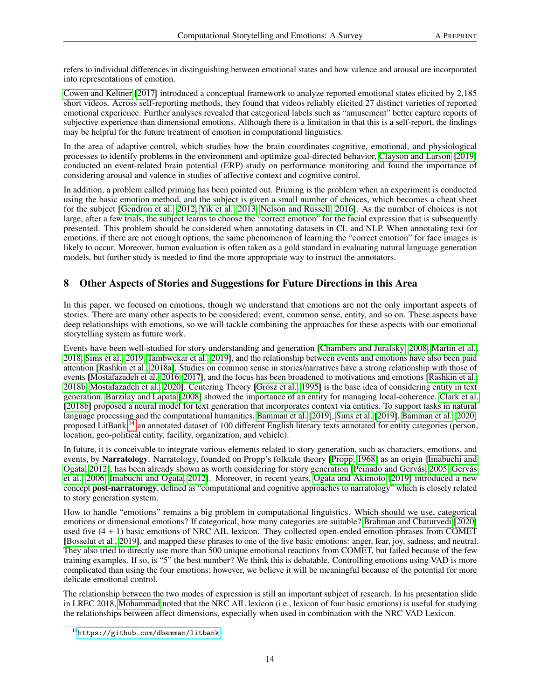refers to individual differences in distinguishing between emotional states and how valence and arousal are incorporated into representations of emotion.

[Cowen and Keltner](#page-23-14) [\[2017\]](#page-23-14) introduced a conceptual framework to analyze reported emotional states elicited by 2,185 short videos. Across self-reporting methods, they found that videos reliably elicited 27 distinct varieties of reported emotional experience. Further analyses revealed that categorical labels such as "amusement" better capture reports of subjective experience than dimensional emotions. Although there is a limitation in that this is a self-report, the findings may be helpful for the future treatment of emotion in computational linguistics.

In the area of adaptive control, which studies how the brain coordinates cognitive, emotional, and physiological processes to identify problems in the environment and optimize goal-directed behavior, [Clayson and Larson](#page-23-15) [\[2019\]](#page-23-15) conducted an event-related brain potential (ERP) study on performance monitoring and found the importance of considering arousal and valence in studies of affective context and cognitive control.

In addition, a problem called priming has been pointed out. Priming is the problem when an experiment is conducted using the basic emotion method, and the subject is given a small number of choices, which becomes a cheat sheet for the subject [\[Gendron et al., 2012,](#page-23-16) [Yik et al., 2013,](#page-23-17) [Nelson and Russell, 2016\]](#page-23-18). As the number of choices is not large, after a few trials, the subject learns to choose the "correct emotion" for the facial expression that is subsequently presented. This problem should be considered when annotating datasets in CL and NLP. When annotating text for emotions, if there are not enough options, the same phenomenon of learning the "correct emotion" for face images is likely to occur. Moreover, human evaluation is often taken as a gold standard in evaluating natural language generation models, but further study is needed to find the more appropriate way to instruct the annotators.

# <span id="page-13-0"></span>8 Other Aspects of Stories and Suggestions for Future Directions in this Area

In this paper, we focused on emotions, though we understand that emotions are not the only important aspects of stories. There are many other aspects to be considered: event, common sense, entity, and so on. These aspects have deep relationships with emotions, so we will tackle combining the approaches for these aspects with our emotional storytelling system as future work.

Events have been well-studied for story understanding and generation [\[Chambers and Jurafsky, 2008,](#page-17-6) [Martin et al.,](#page-23-19) [2018,](#page-23-19) [Sims et al., 2019,](#page-23-20) [Tambwekar et al., 2019\]](#page-24-0), and the relationship between events and emotions have also been paid attention [\[Rashkin et al., 2018a\]](#page-24-1). Studies on common sense in stories/narratives have a strong relationship with those of events [\[Mostafazadeh et al., 2016,](#page-17-7) [2017\]](#page-24-2), and the focus has been broadened to motivations and emotions [\[Rashkin et al.,](#page-24-3) [2018b,](#page-24-3) [Mostafazadeh et al., 2020\]](#page-24-4). Centering Theory [\[Grosz et al., 1995\]](#page-24-5) is the base idea of considering entity in text generation. [Barzilay and Lapata](#page-24-6) [\[2008\]](#page-24-6) showed the importance of an entity for managing local-coherence. [Clark et al.](#page-24-7) [\[2018b\]](#page-24-7) proposed a neural model for text generation that incorporates context via entities. To support tasks in natural language processing and the computational humanities, [Bamman et al.](#page-24-8) [\[2019\]](#page-24-8), [Sims et al.](#page-23-20) [\[2019\]](#page-23-20), [Bamman et al.](#page-24-9) [\[2020\]](#page-24-9) proposed LitBank,<sup>[14](#page-13-1)</sup> an annotated dataset of 100 different English literary texts annotated for entity categories (person, location, geo-political entity, facility, organization, and vehicle).

In future, it is conceivable to integrate various elements related to story generation, such as characters, emotions, and events, by Narratology. Narratology, founded on Propp's folktale theory [\[Propp, 1968\]](#page-24-10) as an origin [\[Imabuchi and](#page-24-11) [Ogata, 2012\]](#page-24-11), has been already shown as worth considering for story generation [\[Peinado and Gervás, 2005,](#page-24-12) [Gervás](#page-24-13) [et al., 2006,](#page-24-13) [Imabuchi and Ogata, 2012\]](#page-24-14). Moreover, in recent years, [Ogata and Akimoto](#page-24-15) [\[2019\]](#page-24-15) introduced a new concept post-narratorogy, defined as "computational and cognitive approaches to narratology" which is closely related to story generation system.

How to handle "emotions" remains a big problem in computational linguistics. Which should we use, categorical emotions or dimensional emotions? If categorical, how many categories are suitable? [Brahman and Chaturvedi](#page-16-1) [\[2020\]](#page-16-1) used five (4 + 1) basic emotions of NRC AIL lexicon. They collected open-ended emotion-phrases from COMET [\[Bosselut et al., 2019\]](#page-24-16), and mapped these phrases to one of the five basic emotions: anger, fear, joy, sadness, and neutral. They also tried to directly use more than 500 unique emotional reactions from COMET, but failed because of the few training examples. If so, is "5" the best number? We think this is debatable. Controlling emotions using VAD is more complicated than using the four emotions; however, we believe it will be meaningful because of the potential for more delicate emotional control.

The relationship between the two modes of expression is still an important subject of research. In his presentation slide in LREC 2018, [Mohammad](#page-24-17) noted that the NRC AIL lexicon (i.e., lexicon of four basic emotions) is useful for studying the relationships between affect dimensions, especially when used in combination with the NRC VAD Lexicon.

<span id="page-13-1"></span><sup>14</sup><https://github.com/dbamman/litbank>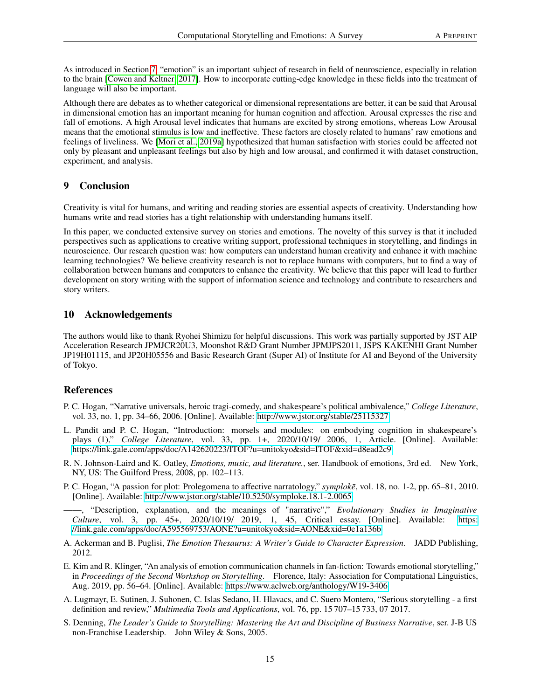As introduced in Section [7,](#page-12-0) "emotion" is an important subject of research in field of neuroscience, especially in relation to the brain [\[Cowen and Keltner, 2017\]](#page-23-14). How to incorporate cutting-edge knowledge in these fields into the treatment of language will also be important.

Although there are debates as to whether categorical or dimensional representations are better, it can be said that Arousal in dimensional emotion has an important meaning for human cognition and affection. Arousal expresses the rise and fall of emotions. A high Arousal level indicates that humans are excited by strong emotions, whereas Low Arousal means that the emotional stimulus is low and ineffective. These factors are closely related to humans' raw emotions and feelings of liveliness. We [\[Mori et al., 2019a\]](#page-15-16) hypothesized that human satisfaction with stories could be affected not only by pleasant and unpleasant feelings but also by high and low arousal, and confirmed it with dataset construction, experiment, and analysis.

## <span id="page-14-9"></span>9 Conclusion

Creativity is vital for humans, and writing and reading stories are essential aspects of creativity. Understanding how humans write and read stories has a tight relationship with understanding humans itself.

In this paper, we conducted extensive survey on stories and emotions. The novelty of this survey is that it included perspectives such as applications to creative writing support, professional techniques in storytelling, and findings in neuroscience. Our research question was: how computers can understand human creativity and enhance it with machine learning technologies? We believe creativity research is not to replace humans with computers, but to find a way of collaboration between humans and computers to enhance the creativity. We believe that this paper will lead to further development on story writing with the support of information science and technology and contribute to researchers and story writers.

## 10 Acknowledgements

The authors would like to thank Ryohei Shimizu for helpful discussions. This work was partially supported by JST AIP Acceleration Research JPMJCR20U3, Moonshot R&D Grant Number JPMJPS2011, JSPS KAKENHI Grant Number JP19H01115, and JP20H05556 and Basic Research Grant (Super AI) of Institute for AI and Beyond of the University of Tokyo.

## References

- <span id="page-14-0"></span>P. C. Hogan, "Narrative universals, heroic tragi-comedy, and shakespeare's political ambivalence," *College Literature*, vol. 33, no. 1, pp. 34–66, 2006. [Online]. Available:<http://www.jstor.org/stable/25115327>
- <span id="page-14-1"></span>L. Pandit and P. C. Hogan, "Introduction: morsels and modules: on embodying cognition in shakespeare's plays (1)," *College Literature*, vol. 33, pp. 1+, 2020/10/19/ 2006, 1, Article. [Online]. Available: <https://link.gale.com/apps/doc/A142620223/ITOF?u=unitokyo&sid=ITOF&xid=d8ead2c9>
- <span id="page-14-2"></span>R. N. Johnson-Laird and K. Oatley, *Emotions, music, and literature.*, ser. Handbook of emotions, 3rd ed. New York, NY, US: The Guilford Press, 2008, pp. 102–113.
- <span id="page-14-3"></span>P. C. Hogan, "A passion for plot: Prolegomena to affective narratology," *symploke*, vol. 18, no. 1-2, pp. 65–81, 2010. [Online]. Available:<http://www.jstor.org/stable/10.5250/symploke.18.1-2.0065>
- <span id="page-14-4"></span>——, "Description, explanation, and the meanings of "narrative"," *Evolutionary Studies in Imaginative Culture*, vol. 3, pp. 45+, 2020/10/19/ 2019, 1, 45, Critical essay. [Online]. Available: [https:](https://link.gale.com/apps/doc/A595569753/AONE?u=unitokyo&sid=AONE&xid=0e1a136b) [//link.gale.com/apps/doc/A595569753/AONE?u=unitokyo&sid=AONE&xid=0e1a136b](https://link.gale.com/apps/doc/A595569753/AONE?u=unitokyo&sid=AONE&xid=0e1a136b)
- <span id="page-14-5"></span>A. Ackerman and B. Puglisi, *The Emotion Thesaurus: A Writer's Guide to Character Expression*. JADD Publishing, 2012.
- <span id="page-14-6"></span>E. Kim and R. Klinger, "An analysis of emotion communication channels in fan-fiction: Towards emotional storytelling," in *Proceedings of the Second Workshop on Storytelling*. Florence, Italy: Association for Computational Linguistics, Aug. 2019, pp. 56–64. [Online]. Available:<https://www.aclweb.org/anthology/W19-3406>
- <span id="page-14-7"></span>A. Lugmayr, E. Sutinen, J. Suhonen, C. Islas Sedano, H. Hlavacs, and C. Suero Montero, "Serious storytelling - a first definition and review," *Multimedia Tools and Applications*, vol. 76, pp. 15 707–15 733, 07 2017.
- <span id="page-14-8"></span>S. Denning, *The Leader's Guide to Storytelling: Mastering the Art and Discipline of Business Narrative*, ser. J-B US non-Franchise Leadership. John Wiley & Sons, 2005.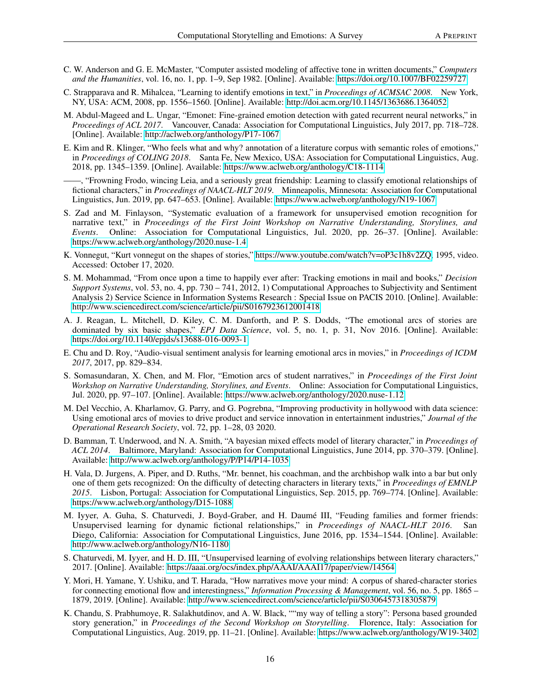- <span id="page-15-0"></span>C. W. Anderson and G. E. McMaster, "Computer assisted modeling of affective tone in written documents," *Computers and the Humanities*, vol. 16, no. 1, pp. 1–9, Sep 1982. [Online]. Available:<https://doi.org/10.1007/BF02259727>
- <span id="page-15-1"></span>C. Strapparava and R. Mihalcea, "Learning to identify emotions in text," in *Proceedings of ACMSAC 2008*. New York, NY, USA: ACM, 2008, pp. 1556–1560. [Online]. Available:<http://doi.acm.org/10.1145/1363686.1364052>
- <span id="page-15-2"></span>M. Abdul-Mageed and L. Ungar, "Emonet: Fine-grained emotion detection with gated recurrent neural networks," in *Proceedings of ACL 2017*. Vancouver, Canada: Association for Computational Linguistics, July 2017, pp. 718–728. [Online]. Available:<http://aclweb.org/anthology/P17-1067>
- <span id="page-15-3"></span>E. Kim and R. Klinger, "Who feels what and why? annotation of a literature corpus with semantic roles of emotions," in *Proceedings of COLING 2018*. Santa Fe, New Mexico, USA: Association for Computational Linguistics, Aug. 2018, pp. 1345–1359. [Online]. Available:<https://www.aclweb.org/anthology/C18-1114>

<span id="page-15-4"></span>——, "Frowning Frodo, wincing Leia, and a seriously great friendship: Learning to classify emotional relationships of fictional characters," in *Proceedings of NAACL-HLT 2019*. Minneapolis, Minnesota: Association for Computational Linguistics, Jun. 2019, pp. 647–653. [Online]. Available:<https://www.aclweb.org/anthology/N19-1067>

- <span id="page-15-5"></span>S. Zad and M. Finlayson, "Systematic evaluation of a framework for unsupervised emotion recognition for narrative text," in *Proceedings of the First Joint Workshop on Narrative Understanding, Storylines, and Events*. Online: Association for Computational Linguistics, Jul. 2020, pp. 26–37. [Online]. Available: <https://www.aclweb.org/anthology/2020.nuse-1.4>
- <span id="page-15-7"></span>K. Vonnegut, "Kurt vonnegut on the shapes of stories," [https://www.youtube.com/watch?v=oP3c1h8v2ZQ,](https://www.youtube.com/watch?v=oP3c1h8v2ZQ) 1995, video. Accessed: October 17, 2020.
- <span id="page-15-6"></span>S. M. Mohammad, "From once upon a time to happily ever after: Tracking emotions in mail and books," *Decision Support Systems*, vol. 53, no. 4, pp. 730 – 741, 2012, 1) Computational Approaches to Subjectivity and Sentiment Analysis 2) Service Science in Information Systems Research : Special Issue on PACIS 2010. [Online]. Available: <http://www.sciencedirect.com/science/article/pii/S0167923612001418>
- <span id="page-15-8"></span>A. J. Reagan, L. Mitchell, D. Kiley, C. M. Danforth, and P. S. Dodds, "The emotional arcs of stories are dominated by six basic shapes," *EPJ Data Science*, vol. 5, no. 1, p. 31, Nov 2016. [Online]. Available: <https://doi.org/10.1140/epjds/s13688-016-0093-1>
- <span id="page-15-9"></span>E. Chu and D. Roy, "Audio-visual sentiment analysis for learning emotional arcs in movies," in *Proceedings of ICDM 2017*, 2017, pp. 829–834.
- <span id="page-15-10"></span>S. Somasundaran, X. Chen, and M. Flor, "Emotion arcs of student narratives," in *Proceedings of the First Joint Workshop on Narrative Understanding, Storylines, and Events*. Online: Association for Computational Linguistics, Jul. 2020, pp. 97–107. [Online]. Available:<https://www.aclweb.org/anthology/2020.nuse-1.12>
- <span id="page-15-11"></span>M. Del Vecchio, A. Kharlamov, G. Parry, and G. Pogrebna, "Improving productivity in hollywood with data science: Using emotional arcs of movies to drive product and service innovation in entertainment industries," *Journal of the Operational Research Society*, vol. 72, pp. 1–28, 03 2020.
- <span id="page-15-12"></span>D. Bamman, T. Underwood, and N. A. Smith, "A bayesian mixed effects model of literary character," in *Proceedings of ACL 2014*. Baltimore, Maryland: Association for Computational Linguistics, June 2014, pp. 370–379. [Online]. Available:<http://www.aclweb.org/anthology/P/P14/P14-1035>
- <span id="page-15-13"></span>H. Vala, D. Jurgens, A. Piper, and D. Ruths, "Mr. bennet, his coachman, and the archbishop walk into a bar but only one of them gets recognized: On the difficulty of detecting characters in literary texts," in *Proceedings of EMNLP 2015*. Lisbon, Portugal: Association for Computational Linguistics, Sep. 2015, pp. 769–774. [Online]. Available: <https://www.aclweb.org/anthology/D15-1088>
- <span id="page-15-14"></span>M. Iyyer, A. Guha, S. Chaturvedi, J. Boyd-Graber, and H. Daumé III, "Feuding families and former friends: Unsupervised learning for dynamic fictional relationships," in *Proceedings of NAACL-HLT 2016*. San Diego, California: Association for Computational Linguistics, June 2016, pp. 1534–1544. [Online]. Available: <http://www.aclweb.org/anthology/N16-1180>
- <span id="page-15-15"></span>S. Chaturvedi, M. Iyyer, and H. D. III, "Unsupervised learning of evolving relationships between literary characters," 2017. [Online]. Available:<https://aaai.org/ocs/index.php/AAAI/AAAI17/paper/view/14564>
- <span id="page-15-16"></span>Y. Mori, H. Yamane, Y. Ushiku, and T. Harada, "How narratives move your mind: A corpus of shared-character stories for connecting emotional flow and interestingness," *Information Processing & Management*, vol. 56, no. 5, pp. 1865 – 1879, 2019. [Online]. Available:<http://www.sciencedirect.com/science/article/pii/S0306457318305879>
- <span id="page-15-17"></span>K. Chandu, S. Prabhumoye, R. Salakhutdinov, and A. W. Black, ""my way of telling a story": Persona based grounded story generation," in *Proceedings of the Second Workshop on Storytelling*. Florence, Italy: Association for Computational Linguistics, Aug. 2019, pp. 11–21. [Online]. Available:<https://www.aclweb.org/anthology/W19-3402>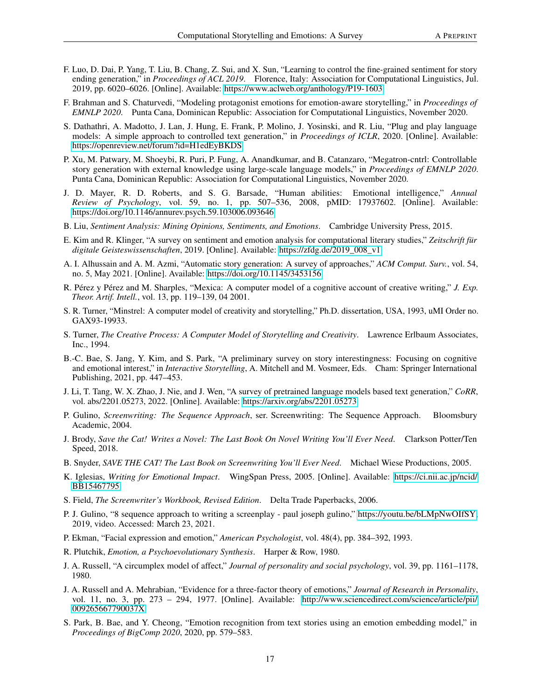- <span id="page-16-0"></span>F. Luo, D. Dai, P. Yang, T. Liu, B. Chang, Z. Sui, and X. Sun, "Learning to control the fine-grained sentiment for story ending generation," in *Proceedings of ACL 2019*. Florence, Italy: Association for Computational Linguistics, Jul. 2019, pp. 6020–6026. [Online]. Available:<https://www.aclweb.org/anthology/P19-1603>
- <span id="page-16-1"></span>F. Brahman and S. Chaturvedi, "Modeling protagonist emotions for emotion-aware storytelling," in *Proceedings of EMNLP 2020*. Punta Cana, Dominican Republic: Association for Computational Linguistics, November 2020.
- <span id="page-16-2"></span>S. Dathathri, A. Madotto, J. Lan, J. Hung, E. Frank, P. Molino, J. Yosinski, and R. Liu, "Plug and play language models: A simple approach to controlled text generation," in *Proceedings of ICLR*, 2020. [Online]. Available: <https://openreview.net/forum?id=H1edEyBKDS>
- <span id="page-16-3"></span>P. Xu, M. Patwary, M. Shoeybi, R. Puri, P. Fung, A. Anandkumar, and B. Catanzaro, "Megatron-cntrl: Controllable story generation with external knowledge using large-scale language models," in *Proceedings of EMNLP 2020*. Punta Cana, Dominican Republic: Association for Computational Linguistics, November 2020.
- <span id="page-16-4"></span>J. D. Mayer, R. D. Roberts, and S. G. Barsade, "Human abilities: Emotional intelligence," *Annual Review of Psychology*, vol. 59, no. 1, pp. 507–536, 2008, pMID: 17937602. [Online]. Available: <https://doi.org/10.1146/annurev.psych.59.103006.093646>
- <span id="page-16-5"></span>B. Liu, *Sentiment Analysis: Mining Opinions, Sentiments, and Emotions*. Cambridge University Press, 2015.
- <span id="page-16-6"></span>E. Kim and R. Klinger, "A survey on sentiment and emotion analysis for computational literary studies," *Zeitschrift für digitale Geisteswissenschaften*, 2019. [Online]. Available: [https://zfdg.de/2019\\_008\\_v1](https://zfdg.de/2019_008_v1)
- <span id="page-16-7"></span>A. I. Alhussain and A. M. Azmi, "Automatic story generation: A survey of approaches," *ACM Comput. Surv.*, vol. 54, no. 5, May 2021. [Online]. Available:<https://doi.org/10.1145/3453156>
- <span id="page-16-8"></span>R. Pérez y Pérez and M. Sharples, "Mexica: A computer model of a cognitive account of creative writing," *J. Exp. Theor. Artif. Intell.*, vol. 13, pp. 119–139, 04 2001.
- <span id="page-16-9"></span>S. R. Turner, "Minstrel: A computer model of creativity and storytelling," Ph.D. dissertation, USA, 1993, uMI Order no. GAX93-19933.
- <span id="page-16-10"></span>S. Turner, *The Creative Process: A Computer Model of Storytelling and Creativity*. Lawrence Erlbaum Associates, Inc., 1994.
- <span id="page-16-11"></span>B.-C. Bae, S. Jang, Y. Kim, and S. Park, "A preliminary survey on story interestingness: Focusing on cognitive and emotional interest," in *Interactive Storytelling*, A. Mitchell and M. Vosmeer, Eds. Cham: Springer International Publishing, 2021, pp. 447–453.
- <span id="page-16-12"></span>J. Li, T. Tang, W. X. Zhao, J. Nie, and J. Wen, "A survey of pretrained language models based text generation," *CoRR*, vol. abs/2201.05273, 2022. [Online]. Available:<https://arxiv.org/abs/2201.05273>
- <span id="page-16-16"></span>P. Gulino, *Screenwriting: The Sequence Approach*, ser. Screenwriting: The Sequence Approach. Bloomsbury Academic, 2004.
- <span id="page-16-13"></span>J. Brody, *Save the Cat! Writes a Novel: The Last Book On Novel Writing You'll Ever Need*. Clarkson Potter/Ten Speed, 2018.
- <span id="page-16-14"></span>B. Snyder, *SAVE THE CAT! The Last Book on Screenwriting You'll Ever Need*. Michael Wiese Productions, 2005.
- <span id="page-16-18"></span>K. Iglesias, *Writing for Emotional Impact*. WingSpan Press, 2005. [Online]. Available: [https://ci.nii.ac.jp/ncid/](https://ci.nii.ac.jp/ncid/BB15467795) [BB15467795](https://ci.nii.ac.jp/ncid/BB15467795)
- <span id="page-16-15"></span>S. Field, *The Screenwriter's Workbook, Revised Edition*. Delta Trade Paperbacks, 2006.
- <span id="page-16-17"></span>P. J. Gulino, "8 sequence approach to writing a screenplay - paul joseph gulino," [https://youtu.be/bLMpNwOIfSY,](https://youtu.be/bLMpNwOIfSY) 2019, video. Accessed: March 23, 2021.
- <span id="page-16-19"></span>P. Ekman, "Facial expression and emotion," *American Psychologist*, vol. 48(4), pp. 384–392, 1993.
- <span id="page-16-20"></span>R. Plutchik, *Emotion, a Psychoevolutionary Synthesis*. Harper & Row, 1980.
- <span id="page-16-21"></span>J. A. Russell, "A circumplex model of affect," *Journal of personality and social psychology*, vol. 39, pp. 1161–1178, 1980.
- <span id="page-16-22"></span>J. A. Russell and A. Mehrabian, "Evidence for a three-factor theory of emotions," *Journal of Research in Personality*, vol. 11, no. 3, pp. 273 – 294, 1977. [Online]. Available: [http://www.sciencedirect.com/science/article/pii/](http://www.sciencedirect.com/science/article/pii/009265667790037X) [009265667790037X](http://www.sciencedirect.com/science/article/pii/009265667790037X)
- <span id="page-16-23"></span>S. Park, B. Bae, and Y. Cheong, "Emotion recognition from text stories using an emotion embedding model," in *Proceedings of BigComp 2020*, 2020, pp. 579–583.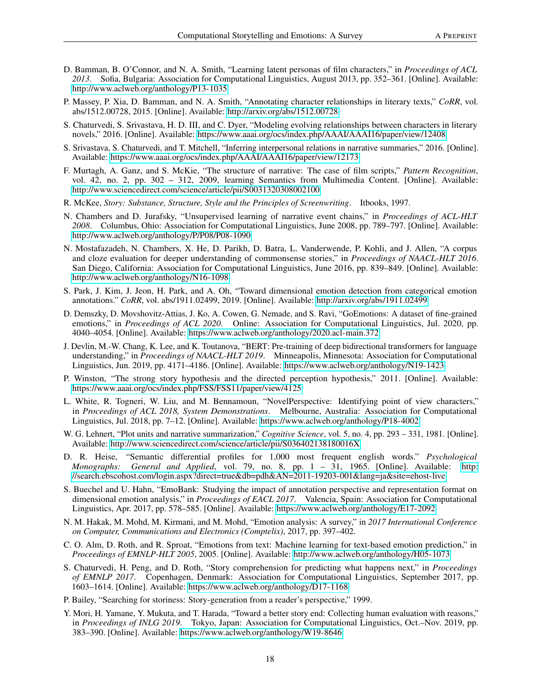- <span id="page-17-0"></span>D. Bamman, B. O'Connor, and N. A. Smith, "Learning latent personas of film characters," in *Proceedings of ACL 2013*. Sofia, Bulgaria: Association for Computational Linguistics, August 2013, pp. 352–361. [Online]. Available: <http://www.aclweb.org/anthology/P13-1035>
- <span id="page-17-1"></span>P. Massey, P. Xia, D. Bamman, and N. A. Smith, "Annotating character relationships in literary texts," *CoRR*, vol. abs/1512.00728, 2015. [Online]. Available:<http://arxiv.org/abs/1512.00728>
- <span id="page-17-2"></span>S. Chaturvedi, S. Srivastava, H. D. III, and C. Dyer, "Modeling evolving relationships between characters in literary novels," 2016. [Online]. Available:<https://www.aaai.org/ocs/index.php/AAAI/AAAI16/paper/view/12408>
- <span id="page-17-3"></span>S. Srivastava, S. Chaturvedi, and T. Mitchell, "Inferring interpersonal relations in narrative summaries," 2016. [Online]. Available:<https://www.aaai.org/ocs/index.php/AAAI/AAAI16/paper/view/12173>
- <span id="page-17-4"></span>F. Murtagh, A. Ganz, and S. McKie, "The structure of narrative: The case of film scripts," *Pattern Recognition*, vol. 42, no. 2, pp. 302 – 312, 2009, learning Semantics from Multimedia Content. [Online]. Available: <http://www.sciencedirect.com/science/article/pii/S0031320308002100>
- <span id="page-17-5"></span>R. McKee, *Story: Substance, Structure, Style and the Principles of Screenwriting*. Itbooks, 1997.
- <span id="page-17-6"></span>N. Chambers and D. Jurafsky, "Unsupervised learning of narrative event chains," in *Proceedings of ACL-HLT 2008*. Columbus, Ohio: Association for Computational Linguistics, June 2008, pp. 789–797. [Online]. Available: <http://www.aclweb.org/anthology/P/P08/P08-1090>
- <span id="page-17-7"></span>N. Mostafazadeh, N. Chambers, X. He, D. Parikh, D. Batra, L. Vanderwende, P. Kohli, and J. Allen, "A corpus and cloze evaluation for deeper understanding of commonsense stories," in *Proceedings of NAACL-HLT 2016*. San Diego, California: Association for Computational Linguistics, June 2016, pp. 839–849. [Online]. Available: <http://www.aclweb.org/anthology/N16-1098>
- <span id="page-17-8"></span>S. Park, J. Kim, J. Jeon, H. Park, and A. Oh, "Toward dimensional emotion detection from categorical emotion annotations." *CoRR*, vol. abs/1911.02499, 2019. [Online]. Available:<http://arxiv.org/abs/1911.02499>
- <span id="page-17-9"></span>D. Demszky, D. Movshovitz-Attias, J. Ko, A. Cowen, G. Nemade, and S. Ravi, "GoEmotions: A dataset of fine-grained emotions," in *Proceedings of ACL 2020*. Online: Association for Computational Linguistics, Jul. 2020, pp. 4040–4054. [Online]. Available:<https://www.aclweb.org/anthology/2020.acl-main.372>
- <span id="page-17-10"></span>J. Devlin, M.-W. Chang, K. Lee, and K. Toutanova, "BERT: Pre-training of deep bidirectional transformers for language understanding," in *Proceedings of NAACL-HLT 2019*. Minneapolis, Minnesota: Association for Computational Linguistics, Jun. 2019, pp. 4171–4186. [Online]. Available:<https://www.aclweb.org/anthology/N19-1423>
- <span id="page-17-11"></span>P. Winston, "The strong story hypothesis and the directed perception hypothesis," 2011. [Online]. Available: <https://www.aaai.org/ocs/index.php/FSS/FSS11/paper/view/4125>
- <span id="page-17-12"></span>L. White, R. Togneri, W. Liu, and M. Bennamoun, "NovelPerspective: Identifying point of view characters," in *Proceedings of ACL 2018, System Demonstrations*. Melbourne, Australia: Association for Computational Linguistics, Jul. 2018, pp. 7–12. [Online]. Available:<https://www.aclweb.org/anthology/P18-4002>
- <span id="page-17-14"></span>W. G. Lehnert, "Plot units and narrative summarization," *Cognitive Science*, vol. 5, no. 4, pp. 293 – 331, 1981. [Online]. Available:<http://www.sciencedirect.com/science/article/pii/S036402138180016X>
- <span id="page-17-13"></span>D. R. Heise, "Semantic differential profiles for 1,000 most frequent english words." *Psychological Monographs: General and Applied*, vol. 79, no. 8, pp. 1 – 31, 1965. [Online]. Available: [http:](http://search.ebscohost.com/login.aspx?direct=true&db=pdh&AN=2011-19203-001&lang=ja&site=ehost-live) [//search.ebscohost.com/login.aspx?direct=true&db=pdh&AN=2011-19203-001&lang=ja&site=ehost-live](http://search.ebscohost.com/login.aspx?direct=true&db=pdh&AN=2011-19203-001&lang=ja&site=ehost-live)
- <span id="page-17-15"></span>S. Buechel and U. Hahn, "EmoBank: Studying the impact of annotation perspective and representation format on dimensional emotion analysis," in *Proceedings of EACL 2017*. Valencia, Spain: Association for Computational Linguistics, Apr. 2017, pp. 578–585. [Online]. Available:<https://www.aclweb.org/anthology/E17-2092>
- <span id="page-17-16"></span>N. M. Hakak, M. Mohd, M. Kirmani, and M. Mohd, "Emotion analysis: A survey," in *2017 International Conference on Computer, Communications and Electronics (Comptelix)*, 2017, pp. 397–402.
- <span id="page-17-17"></span>C. O. Alm, D. Roth, and R. Sproat, "Emotions from text: Machine learning for text-based emotion prediction," in *Proceedings of EMNLP-HLT 2005*, 2005. [Online]. Available:<http://www.aclweb.org/anthology/H05-1073>
- <span id="page-17-18"></span>S. Chaturvedi, H. Peng, and D. Roth, "Story comprehension for predicting what happens next," in *Proceedings of EMNLP 2017*. Copenhagen, Denmark: Association for Computational Linguistics, September 2017, pp. 1603–1614. [Online]. Available:<https://www.aclweb.org/anthology/D17-1168>
- <span id="page-17-19"></span>P. Bailey, "Searching for storiness: Story-generation from a reader's perspective," 1999.
- <span id="page-17-20"></span>Y. Mori, H. Yamane, Y. Mukuta, and T. Harada, "Toward a better story end: Collecting human evaluation with reasons," in *Proceedings of INLG 2019*. Tokyo, Japan: Association for Computational Linguistics, Oct.–Nov. 2019, pp. 383–390. [Online]. Available:<https://www.aclweb.org/anthology/W19-8646>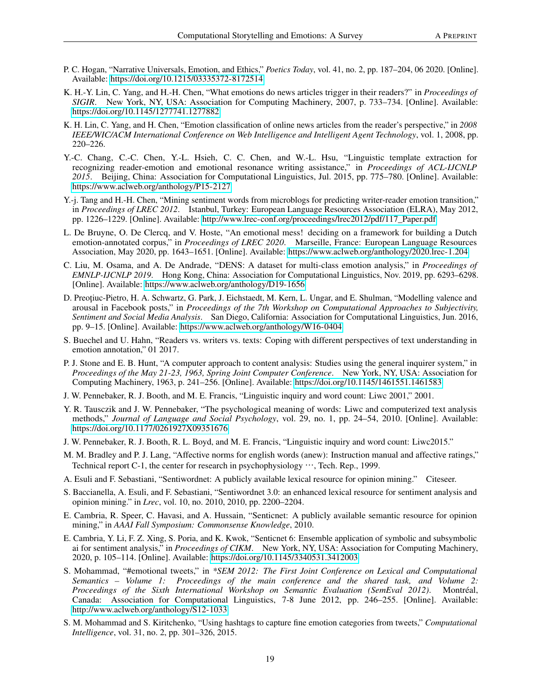- <span id="page-18-0"></span>P. C. Hogan, "Narrative Universals, Emotion, and Ethics," *Poetics Today*, vol. 41, no. 2, pp. 187–204, 06 2020. [Online]. Available:<https://doi.org/10.1215/03335372-8172514>
- <span id="page-18-1"></span>K. H.-Y. Lin, C. Yang, and H.-H. Chen, "What emotions do news articles trigger in their readers?" in *Proceedings of SIGIR*. New York, NY, USA: Association for Computing Machinery, 2007, p. 733–734. [Online]. Available: <https://doi.org/10.1145/1277741.1277882>
- <span id="page-18-2"></span>K. H. Lin, C. Yang, and H. Chen, "Emotion classification of online news articles from the reader's perspective," in *2008 IEEE/WIC/ACM International Conference on Web Intelligence and Intelligent Agent Technology*, vol. 1, 2008, pp. 220–226.
- <span id="page-18-3"></span>Y.-C. Chang, C.-C. Chen, Y.-L. Hsieh, C. C. Chen, and W.-L. Hsu, "Linguistic template extraction for recognizing reader-emotion and emotional resonance writing assistance," in *Proceedings of ACL-IJCNLP 2015*. Beijing, China: Association for Computational Linguistics, Jul. 2015, pp. 775–780. [Online]. Available: <https://www.aclweb.org/anthology/P15-2127>
- <span id="page-18-4"></span>Y.-j. Tang and H.-H. Chen, "Mining sentiment words from microblogs for predicting writer-reader emotion transition," in *Proceedings of LREC 2012*. Istanbul, Turkey: European Language Resources Association (ELRA), May 2012, pp. 1226–1229. [Online]. Available: [http://www.lrec-conf.org/proceedings/lrec2012/pdf/117\\_Paper.pdf](http://www.lrec-conf.org/proceedings/lrec2012/pdf/117_Paper.pdf)
- <span id="page-18-5"></span>L. De Bruyne, O. De Clercq, and V. Hoste, "An emotional mess! deciding on a framework for building a Dutch emotion-annotated corpus," in *Proceedings of LREC 2020*. Marseille, France: European Language Resources Association, May 2020, pp. 1643–1651. [Online]. Available:<https://www.aclweb.org/anthology/2020.lrec-1.204>
- <span id="page-18-6"></span>C. Liu, M. Osama, and A. De Andrade, "DENS: A dataset for multi-class emotion analysis," in *Proceedings of EMNLP-IJCNLP 2019*. Hong Kong, China: Association for Computational Linguistics, Nov. 2019, pp. 6293–6298. [Online]. Available:<https://www.aclweb.org/anthology/D19-1656>
- <span id="page-18-7"></span>D. Preotiuc-Pietro, H. A. Schwartz, G. Park, J. Eichstaedt, M. Kern, L. Ungar, and E. Shulman, "Modelling valence and arousal in Facebook posts," in *Proceedings of the 7th Workshop on Computational Approaches to Subjectivity, Sentiment and Social Media Analysis*. San Diego, California: Association for Computational Linguistics, Jun. 2016, pp. 9–15. [Online]. Available:<https://www.aclweb.org/anthology/W16-0404>
- <span id="page-18-8"></span>S. Buechel and U. Hahn, "Readers vs. writers vs. texts: Coping with different perspectives of text understanding in emotion annotation," 01 2017.
- <span id="page-18-9"></span>P. J. Stone and E. B. Hunt, "A computer approach to content analysis: Studies using the general inquirer system," in *Proceedings of the May 21-23, 1963, Spring Joint Computer Conference*. New York, NY, USA: Association for Computing Machinery, 1963, p. 241–256. [Online]. Available:<https://doi.org/10.1145/1461551.1461583>
- <span id="page-18-10"></span>J. W. Pennebaker, R. J. Booth, and M. E. Francis, "Linguistic inquiry and word count: Liwc 2001," 2001.
- <span id="page-18-11"></span>Y. R. Tausczik and J. W. Pennebaker, "The psychological meaning of words: Liwc and computerized text analysis methods," *Journal of Language and Social Psychology*, vol. 29, no. 1, pp. 24–54, 2010. [Online]. Available: <https://doi.org/10.1177/0261927X09351676>
- <span id="page-18-12"></span>J. W. Pennebaker, R. J. Booth, R. L. Boyd, and M. E. Francis, "Linguistic inquiry and word count: Liwc2015."
- <span id="page-18-13"></span>M. M. Bradley and P. J. Lang, "Affective norms for english words (anew): Instruction manual and affective ratings," Technical report C-1, the center for research in psychophysiology  $\cdots$ , Tech. Rep., 1999.
- <span id="page-18-14"></span>A. Esuli and F. Sebastiani, "Sentiwordnet: A publicly available lexical resource for opinion mining." Citeseer.
- <span id="page-18-15"></span>S. Baccianella, A. Esuli, and F. Sebastiani, "Sentiwordnet 3.0: an enhanced lexical resource for sentiment analysis and opinion mining." in *Lrec*, vol. 10, no. 2010, 2010, pp. 2200–2204.
- <span id="page-18-16"></span>E. Cambria, R. Speer, C. Havasi, and A. Hussain, "Senticnet: A publicly available semantic resource for opinion mining," in *AAAI Fall Symposium: Commonsense Knowledge*, 2010.
- <span id="page-18-17"></span>E. Cambria, Y. Li, F. Z. Xing, S. Poria, and K. Kwok, "Senticnet 6: Ensemble application of symbolic and subsymbolic ai for sentiment analysis," in *Proceedings of CIKM*. New York, NY, USA: Association for Computing Machinery, 2020, p. 105–114. [Online]. Available:<https://doi.org/10.1145/3340531.3412003>
- <span id="page-18-18"></span>S. Mohammad, "#emotional tweets," in *\*SEM 2012: The First Joint Conference on Lexical and Computational Semantics – Volume 1: Proceedings of the main conference and the shared task, and Volume 2: Proceedings of the Sixth International Workshop on Semantic Evaluation (SemEval 2012)*. Montréal, Canada: Association for Computational Linguistics, 7-8 June 2012, pp. 246–255. [Online]. Available: <http://www.aclweb.org/anthology/S12-1033>
- <span id="page-18-19"></span>S. M. Mohammad and S. Kiritchenko, "Using hashtags to capture fine emotion categories from tweets," *Computational Intelligence*, vol. 31, no. 2, pp. 301–326, 2015.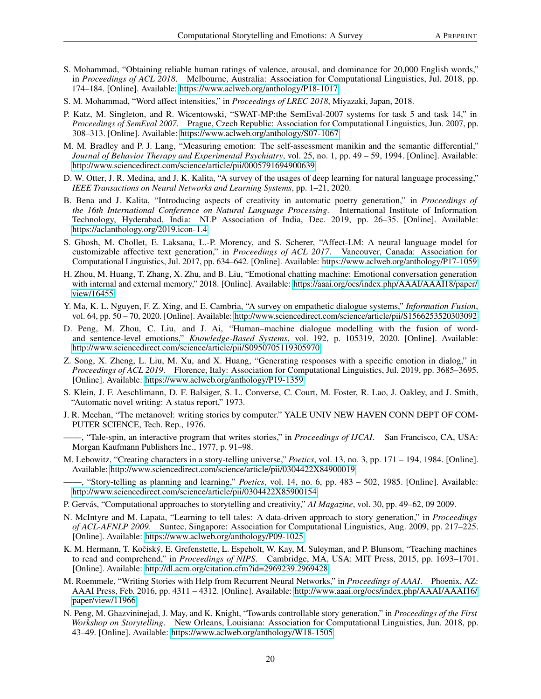- <span id="page-19-0"></span>S. Mohammad, "Obtaining reliable human ratings of valence, arousal, and dominance for 20,000 English words," in *Proceedings of ACL 2018*. Melbourne, Australia: Association for Computational Linguistics, Jul. 2018, pp. 174–184. [Online]. Available:<https://www.aclweb.org/anthology/P18-1017>
- <span id="page-19-1"></span>S. M. Mohammad, "Word affect intensities," in *Proceedings of LREC 2018*, Miyazaki, Japan, 2018.
- <span id="page-19-2"></span>P. Katz, M. Singleton, and R. Wicentowski, "SWAT-MP:the SemEval-2007 systems for task 5 and task 14," in *Proceedings of SemEval 2007*. Prague, Czech Republic: Association for Computational Linguistics, Jun. 2007, pp. 308–313. [Online]. Available:<https://www.aclweb.org/anthology/S07-1067>
- <span id="page-19-3"></span>M. M. Bradley and P. J. Lang, "Measuring emotion: The self-assessment manikin and the semantic differential," *Journal of Behavior Therapy and Experimental Psychiatry*, vol. 25, no. 1, pp. 49 – 59, 1994. [Online]. Available: <http://www.sciencedirect.com/science/article/pii/0005791694900639>
- <span id="page-19-4"></span>D. W. Otter, J. R. Medina, and J. K. Kalita, "A survey of the usages of deep learning for natural language processing," *IEEE Transactions on Neural Networks and Learning Systems*, pp. 1–21, 2020.
- <span id="page-19-5"></span>B. Bena and J. Kalita, "Introducing aspects of creativity in automatic poetry generation," in *Proceedings of the 16th International Conference on Natural Language Processing*. International Institute of Information Technology, Hyderabad, India: NLP Association of India, Dec. 2019, pp. 26–35. [Online]. Available: <https://aclanthology.org/2019.icon-1.4>
- <span id="page-19-6"></span>S. Ghosh, M. Chollet, E. Laksana, L.-P. Morency, and S. Scherer, "Affect-LM: A neural language model for customizable affective text generation," in *Proceedings of ACL 2017*. Vancouver, Canada: Association for Computational Linguistics, Jul. 2017, pp. 634–642. [Online]. Available:<https://www.aclweb.org/anthology/P17-1059>
- <span id="page-19-7"></span>H. Zhou, M. Huang, T. Zhang, X. Zhu, and B. Liu, "Emotional chatting machine: Emotional conversation generation with internal and external memory," 2018. [Online]. Available: [https://aaai.org/ocs/index.php/AAAI/AAAI18/paper/](https://aaai.org/ocs/index.php/AAAI/AAAI18/paper/view/16455) [view/16455](https://aaai.org/ocs/index.php/AAAI/AAAI18/paper/view/16455)
- <span id="page-19-8"></span>Y. Ma, K. L. Nguyen, F. Z. Xing, and E. Cambria, "A survey on empathetic dialogue systems," *Information Fusion*, vol. 64, pp. 50 – 70, 2020. [Online]. Available:<http://www.sciencedirect.com/science/article/pii/S1566253520303092>
- <span id="page-19-9"></span>D. Peng, M. Zhou, C. Liu, and J. Ai, "Human–machine dialogue modelling with the fusion of wordand sentence-level emotions," *Knowledge-Based Systems*, vol. 192, p. 105319, 2020. [Online]. Available: <http://www.sciencedirect.com/science/article/pii/S0950705119305970>
- <span id="page-19-10"></span>Z. Song, X. Zheng, L. Liu, M. Xu, and X. Huang, "Generating responses with a specific emotion in dialog," in *Proceedings of ACL 2019*. Florence, Italy: Association for Computational Linguistics, Jul. 2019, pp. 3685–3695. [Online]. Available:<https://www.aclweb.org/anthology/P19-1359>
- <span id="page-19-11"></span>S. Klein, J. F. Aeschlimann, D. F. Balsiger, S. L. Converse, C. Court, M. Foster, R. Lao, J. Oakley, and J. Smith, "Automatic novel writing: A status report," 1973.
- <span id="page-19-12"></span>J. R. Meehan, "The metanovel: writing stories by computer." YALE UNIV NEW HAVEN CONN DEPT OF COM-PUTER SCIENCE, Tech. Rep., 1976.
- <span id="page-19-13"></span>——, "Tale-spin, an interactive program that writes stories," in *Proceedings of IJCAI*. San Francisco, CA, USA: Morgan Kaufmann Publishers Inc., 1977, p. 91–98.
- <span id="page-19-14"></span>M. Lebowitz, "Creating characters in a story-telling universe," *Poetics*, vol. 13, no. 3, pp. 171 – 194, 1984. [Online]. Available:<http://www.sciencedirect.com/science/article/pii/0304422X84900019>

- <span id="page-19-16"></span>P. Gervás, "Computational approaches to storytelling and creativity," *AI Magazine*, vol. 30, pp. 49–62, 09 2009.
- <span id="page-19-17"></span>N. McIntyre and M. Lapata, "Learning to tell tales: A data-driven approach to story generation," in *Proceedings of ACL-AFNLP 2009*. Suntec, Singapore: Association for Computational Linguistics, Aug. 2009, pp. 217–225. [Online]. Available:<https://www.aclweb.org/anthology/P09-1025>
- <span id="page-19-18"></span>K. M. Hermann, T. Kočiský, E. Grefenstette, L. Espeholt, W. Kay, M. Suleyman, and P. Blunsom, "Teaching machines to read and comprehend," in *Proceedings of NIPS*. Cambridge, MA, USA: MIT Press, 2015, pp. 1693–1701. [Online]. Available:<http://dl.acm.org/citation.cfm?id=2969239.2969428>
- <span id="page-19-19"></span>M. Roemmele, "Writing Stories with Help from Recurrent Neural Networks," in *Proceedings of AAAI*. Phoenix, AZ: AAAI Press, Feb. 2016, pp. 4311 – 4312. [Online]. Available: [http://www.aaai.org/ocs/index.php/AAAI/AAAI16/](http://www.aaai.org/ocs/index.php/AAAI/AAAI16/paper/view/11966) [paper/view/11966](http://www.aaai.org/ocs/index.php/AAAI/AAAI16/paper/view/11966)
- <span id="page-19-20"></span>N. Peng, M. Ghazvininejad, J. May, and K. Knight, "Towards controllable story generation," in *Proceedings of the First Workshop on Storytelling*. New Orleans, Louisiana: Association for Computational Linguistics, Jun. 2018, pp. 43–49. [Online]. Available:<https://www.aclweb.org/anthology/W18-1505>

<span id="page-19-15"></span><sup>——, &</sup>quot;Story-telling as planning and learning," *Poetics*, vol. 14, no. 6, pp. 483 – 502, 1985. [Online]. Available: <http://www.sciencedirect.com/science/article/pii/0304422X85900154>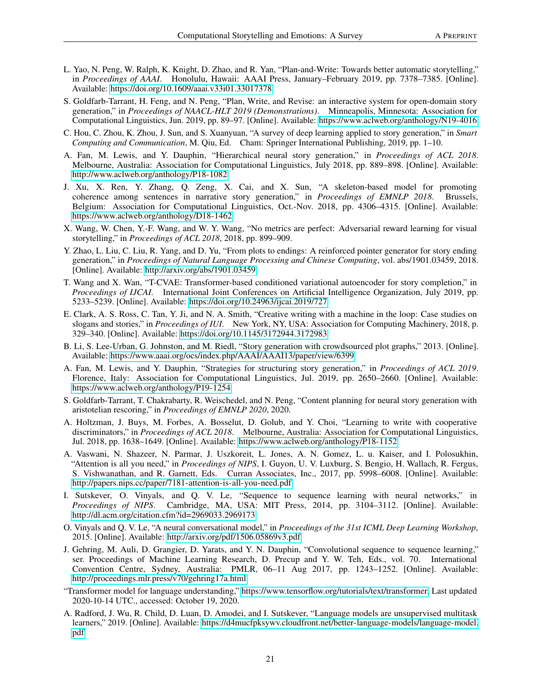- <span id="page-20-0"></span>L. Yao, N. Peng, W. Ralph, K. Knight, D. Zhao, and R. Yan, "Plan-and-Write: Towards better automatic storytelling," in *Proceedings of AAAI*. Honolulu, Hawaii: AAAI Press, January–February 2019, pp. 7378–7385. [Online]. Available:<https://doi.org/10.1609/aaai.v33i01.33017378>
- <span id="page-20-1"></span>S. Goldfarb-Tarrant, H. Feng, and N. Peng, "Plan, Write, and Revise: an interactive system for open-domain story generation," in *Proceedings of NAACL-HLT 2019 (Demonstrations)*. Minneapolis, Minnesota: Association for Computational Linguistics, Jun. 2019, pp. 89–97. [Online]. Available:<https://www.aclweb.org/anthology/N19-4016>
- <span id="page-20-2"></span>C. Hou, C. Zhou, K. Zhou, J. Sun, and S. Xuanyuan, "A survey of deep learning applied to story generation," in *Smart Computing and Communication*, M. Qiu, Ed. Cham: Springer International Publishing, 2019, pp. 1–10.
- <span id="page-20-3"></span>A. Fan, M. Lewis, and Y. Dauphin, "Hierarchical neural story generation," in *Proceedings of ACL 2018*. Melbourne, Australia: Association for Computational Linguistics, July 2018, pp. 889–898. [Online]. Available: <http://www.aclweb.org/anthology/P18-1082>
- <span id="page-20-4"></span>J. Xu, X. Ren, Y. Zhang, Q. Zeng, X. Cai, and X. Sun, "A skeleton-based model for promoting coherence among sentences in narrative story generation," in *Proceedings of EMNLP 2018*. Brussels, Belgium: Association for Computational Linguistics, Oct.-Nov. 2018, pp. 4306–4315. [Online]. Available: <https://www.aclweb.org/anthology/D18-1462>
- <span id="page-20-5"></span>X. Wang, W. Chen, Y.-F. Wang, and W. Y. Wang, "No metrics are perfect: Adversarial reward learning for visual storytelling," in *Proceedings of ACL 2018*, 2018, pp. 899–909.
- <span id="page-20-6"></span>Y. Zhao, L. Liu, C. Liu, R. Yang, and D. Yu, "From plots to endings: A reinforced pointer generator for story ending generation," in *Proceedings of Natural Language Processing and Chinese Computing*, vol. abs/1901.03459, 2018. [Online]. Available:<http://arxiv.org/abs/1901.03459>
- <span id="page-20-7"></span>T. Wang and X. Wan, "T-CVAE: Transformer-based conditioned variational autoencoder for story completion," in *Proceedings of IJCAI*. International Joint Conferences on Artificial Intelligence Organization, July 2019, pp. 5233–5239. [Online]. Available:<https://doi.org/10.24963/ijcai.2019/727>
- <span id="page-20-8"></span>E. Clark, A. S. Ross, C. Tan, Y. Ji, and N. A. Smith, "Creative writing with a machine in the loop: Case studies on slogans and stories," in *Proceedings of IUI*. New York, NY, USA: Association for Computing Machinery, 2018, p. 329–340. [Online]. Available:<https://doi.org/10.1145/3172944.3172983>
- <span id="page-20-9"></span>B. Li, S. Lee-Urban, G. Johnston, and M. Riedl, "Story generation with crowdsourced plot graphs," 2013. [Online]. Available:<https://www.aaai.org/ocs/index.php/AAAI/AAAI13/paper/view/6399>
- <span id="page-20-10"></span>A. Fan, M. Lewis, and Y. Dauphin, "Strategies for structuring story generation," in *Proceedings of ACL 2019*. Florence, Italy: Association for Computational Linguistics, Jul. 2019, pp. 2650–2660. [Online]. Available: <https://www.aclweb.org/anthology/P19-1254>
- <span id="page-20-11"></span>S. Goldfarb-Tarrant, T. Chakrabarty, R. Weischedel, and N. Peng, "Content planning for neural story generation with aristotelian rescoring," in *Proceedings of EMNLP 2020*, 2020.
- <span id="page-20-12"></span>A. Holtzman, J. Buys, M. Forbes, A. Bosselut, D. Golub, and Y. Choi, "Learning to write with cooperative discriminators," in *Proceedings of ACL 2018*. Melbourne, Australia: Association for Computational Linguistics, Jul. 2018, pp. 1638–1649. [Online]. Available:<https://www.aclweb.org/anthology/P18-1152>
- <span id="page-20-13"></span>A. Vaswani, N. Shazeer, N. Parmar, J. Uszkoreit, L. Jones, A. N. Gomez, L. u. Kaiser, and I. Polosukhin, "Attention is all you need," in *Proceedings of NIPS*, I. Guyon, U. V. Luxburg, S. Bengio, H. Wallach, R. Fergus, S. Vishwanathan, and R. Garnett, Eds. Curran Associates, Inc., 2017, pp. 5998–6008. [Online]. Available: <http://papers.nips.cc/paper/7181-attention-is-all-you-need.pdf>
- <span id="page-20-14"></span>I. Sutskever, O. Vinyals, and Q. V. Le, "Sequence to sequence learning with neural networks," in *Proceedings of NIPS*. Cambridge, MA, USA: MIT Press, 2014, pp. 3104–3112. [Online]. Available: <http://dl.acm.org/citation.cfm?id=2969033.2969173>
- <span id="page-20-15"></span>O. Vinyals and Q. V. Le, "A neural conversational model," in *Proceedings of the 31st ICML Deep Learning Workshop*, 2015. [Online]. Available:<http://arxiv.org/pdf/1506.05869v3.pdf>
- <span id="page-20-16"></span>J. Gehring, M. Auli, D. Grangier, D. Yarats, and Y. N. Dauphin, "Convolutional sequence to sequence learning," ser. Proceedings of Machine Learning Research, D. Precup and Y. W. Teh, Eds., vol. 70. International Convention Centre, Sydney, Australia: PMLR, 06–11 Aug 2017, pp. 1243–1252. [Online]. Available: <http://proceedings.mlr.press/v70/gehring17a.html>
- <span id="page-20-17"></span>"Transformer model for language understanding," [https://www.tensorflow.org/tutorials/text/transformer,](https://www.tensorflow.org/tutorials/text/transformer) Last updated 2020-10-14 UTC., accessed: October 19, 2020.
- <span id="page-20-18"></span>A. Radford, J. Wu, R. Child, D. Luan, D. Amodei, and I. Sutskever, "Language models are unsupervised multitask learners," 2019. [Online]. Available: [https://d4mucfpksywv.cloudfront.net/better-language-models/language-model.](https://d4mucfpksywv.cloudfront.net/better-language-models/language-model.pdf) [pdf](https://d4mucfpksywv.cloudfront.net/better-language-models/language-model.pdf)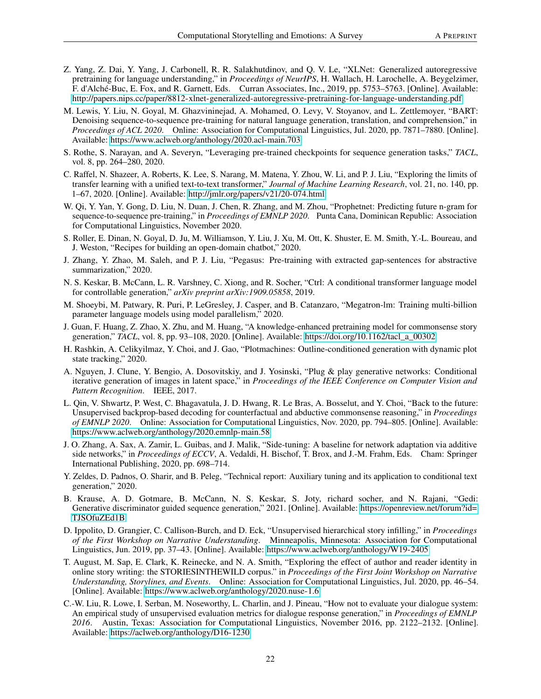- <span id="page-21-0"></span>Z. Yang, Z. Dai, Y. Yang, J. Carbonell, R. R. Salakhutdinov, and Q. V. Le, "XLNet: Generalized autoregressive pretraining for language understanding," in *Proceedings of NeurIPS*, H. Wallach, H. Larochelle, A. Beygelzimer, F. d'Alché-Buc, E. Fox, and R. Garnett, Eds. Curran Associates, Inc., 2019, pp. 5753–5763. [Online]. Available: <http://papers.nips.cc/paper/8812-xlnet-generalized-autoregressive-pretraining-for-language-understanding.pdf>
- <span id="page-21-1"></span>M. Lewis, Y. Liu, N. Goyal, M. Ghazvininejad, A. Mohamed, O. Levy, V. Stoyanov, and L. Zettlemoyer, "BART: Denoising sequence-to-sequence pre-training for natural language generation, translation, and comprehension," in *Proceedings of ACL 2020*. Online: Association for Computational Linguistics, Jul. 2020, pp. 7871–7880. [Online]. Available:<https://www.aclweb.org/anthology/2020.acl-main.703>
- <span id="page-21-2"></span>S. Rothe, S. Narayan, and A. Severyn, "Leveraging pre-trained checkpoints for sequence generation tasks," *TACL*, vol. 8, pp. 264–280, 2020.
- <span id="page-21-3"></span>C. Raffel, N. Shazeer, A. Roberts, K. Lee, S. Narang, M. Matena, Y. Zhou, W. Li, and P. J. Liu, "Exploring the limits of transfer learning with a unified text-to-text transformer," *Journal of Machine Learning Research*, vol. 21, no. 140, pp. 1–67, 2020. [Online]. Available:<http://jmlr.org/papers/v21/20-074.html>
- <span id="page-21-4"></span>W. Qi, Y. Yan, Y. Gong, D. Liu, N. Duan, J. Chen, R. Zhang, and M. Zhou, "Prophetnet: Predicting future n-gram for sequence-to-sequence pre-training," in *Proceedings of EMNLP 2020*. Punta Cana, Dominican Republic: Association for Computational Linguistics, November 2020.
- <span id="page-21-5"></span>S. Roller, E. Dinan, N. Goyal, D. Ju, M. Williamson, Y. Liu, J. Xu, M. Ott, K. Shuster, E. M. Smith, Y.-L. Boureau, and J. Weston, "Recipes for building an open-domain chatbot," 2020.
- <span id="page-21-6"></span>J. Zhang, Y. Zhao, M. Saleh, and P. J. Liu, "Pegasus: Pre-training with extracted gap-sentences for abstractive summarization," 2020.
- <span id="page-21-7"></span>N. S. Keskar, B. McCann, L. R. Varshney, C. Xiong, and R. Socher, "Ctrl: A conditional transformer language model for controllable generation," *arXiv preprint arXiv:1909.05858*, 2019.
- <span id="page-21-8"></span>M. Shoeybi, M. Patwary, R. Puri, P. LeGresley, J. Casper, and B. Catanzaro, "Megatron-lm: Training multi-billion parameter language models using model parallelism," 2020.
- <span id="page-21-9"></span>J. Guan, F. Huang, Z. Zhao, X. Zhu, and M. Huang, "A knowledge-enhanced pretraining model for commonsense story generation," *TACL*, vol. 8, pp. 93–108, 2020. [Online]. Available: [https://doi.org/10.1162/tacl\\_a\\_00302](https://doi.org/10.1162/tacl_a_00302)
- <span id="page-21-10"></span>H. Rashkin, A. Celikyilmaz, Y. Choi, and J. Gao, "Plotmachines: Outline-conditioned generation with dynamic plot state tracking," 2020.
- <span id="page-21-11"></span>A. Nguyen, J. Clune, Y. Bengio, A. Dosovitskiy, and J. Yosinski, "Plug & play generative networks: Conditional iterative generation of images in latent space," in *Proceedings of the IEEE Conference on Computer Vision and Pattern Recognition*. IEEE, 2017.
- <span id="page-21-12"></span>L. Qin, V. Shwartz, P. West, C. Bhagavatula, J. D. Hwang, R. Le Bras, A. Bosselut, and Y. Choi, "Back to the future: Unsupervised backprop-based decoding for counterfactual and abductive commonsense reasoning," in *Proceedings of EMNLP 2020*. Online: Association for Computational Linguistics, Nov. 2020, pp. 794–805. [Online]. Available: <https://www.aclweb.org/anthology/2020.emnlp-main.58>
- <span id="page-21-13"></span>J. O. Zhang, A. Sax, A. Zamir, L. Guibas, and J. Malik, "Side-tuning: A baseline for network adaptation via additive side networks," in *Proceedings of ECCV*, A. Vedaldi, H. Bischof, T. Brox, and J.-M. Frahm, Eds. Cham: Springer International Publishing, 2020, pp. 698–714.
- <span id="page-21-14"></span>Y. Zeldes, D. Padnos, O. Sharir, and B. Peleg, "Technical report: Auxiliary tuning and its application to conditional text generation," 2020.
- <span id="page-21-15"></span>B. Krause, A. D. Gotmare, B. McCann, N. S. Keskar, S. Joty, richard socher, and N. Rajani, "Gedi: Generative discriminator guided sequence generation," 2021. [Online]. Available: [https://openreview.net/forum?id=](https://openreview.net/forum?id=TJSOfuZEd1B) [TJSOfuZEd1B](https://openreview.net/forum?id=TJSOfuZEd1B)
- <span id="page-21-16"></span>D. Ippolito, D. Grangier, C. Callison-Burch, and D. Eck, "Unsupervised hierarchical story infilling," in *Proceedings of the First Workshop on Narrative Understanding*. Minneapolis, Minnesota: Association for Computational Linguistics, Jun. 2019, pp. 37–43. [Online]. Available:<https://www.aclweb.org/anthology/W19-2405>
- <span id="page-21-17"></span>T. August, M. Sap, E. Clark, K. Reinecke, and N. A. Smith, "Exploring the effect of author and reader identity in online story writing: the STORIESINTHEWILD corpus." in *Proceedings of the First Joint Workshop on Narrative Understanding, Storylines, and Events*. Online: Association for Computational Linguistics, Jul. 2020, pp. 46–54. [Online]. Available:<https://www.aclweb.org/anthology/2020.nuse-1.6>
- <span id="page-21-18"></span>C.-W. Liu, R. Lowe, I. Serban, M. Noseworthy, L. Charlin, and J. Pineau, "How not to evaluate your dialogue system: An empirical study of unsupervised evaluation metrics for dialogue response generation," in *Proceedings of EMNLP 2016*. Austin, Texas: Association for Computational Linguistics, November 2016, pp. 2122–2132. [Online]. Available:<https://aclweb.org/anthology/D16-1230>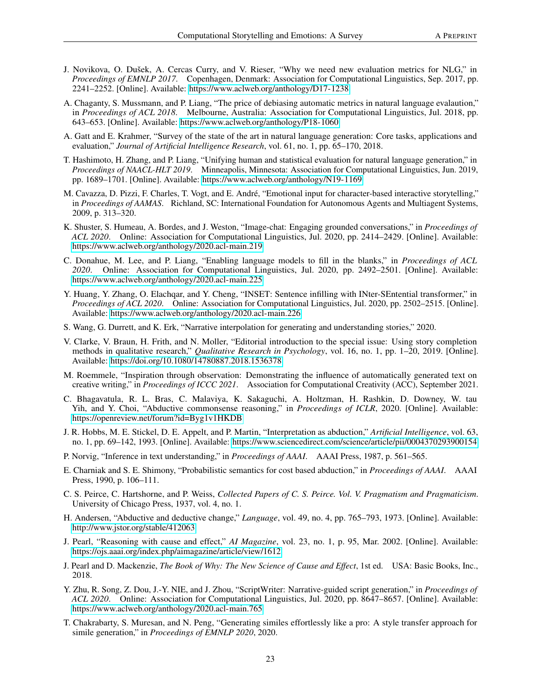- <span id="page-22-0"></span>J. Novikova, O. Dušek, A. Cercas Curry, and V. Rieser, "Why we need new evaluation metrics for NLG," in *Proceedings of EMNLP 2017*. Copenhagen, Denmark: Association for Computational Linguistics, Sep. 2017, pp. 2241–2252. [Online]. Available:<https://www.aclweb.org/anthology/D17-1238>
- <span id="page-22-1"></span>A. Chaganty, S. Mussmann, and P. Liang, "The price of debiasing automatic metrics in natural language evalaution," in *Proceedings of ACL 2018*. Melbourne, Australia: Association for Computational Linguistics, Jul. 2018, pp. 643–653. [Online]. Available:<https://www.aclweb.org/anthology/P18-1060>
- <span id="page-22-2"></span>A. Gatt and E. Krahmer, "Survey of the state of the art in natural language generation: Core tasks, applications and evaluation," *Journal of Artificial Intelligence Research*, vol. 61, no. 1, pp. 65–170, 2018.
- <span id="page-22-3"></span>T. Hashimoto, H. Zhang, and P. Liang, "Unifying human and statistical evaluation for natural language generation," in *Proceedings of NAACL-HLT 2019*. Minneapolis, Minnesota: Association for Computational Linguistics, Jun. 2019, pp. 1689–1701. [Online]. Available:<https://www.aclweb.org/anthology/N19-1169>
- <span id="page-22-4"></span>M. Cavazza, D. Pizzi, F. Charles, T. Vogt, and E. André, "Emotional input for character-based interactive storytelling," in *Proceedings of AAMAS*. Richland, SC: International Foundation for Autonomous Agents and Multiagent Systems, 2009, p. 313–320.
- <span id="page-22-5"></span>K. Shuster, S. Humeau, A. Bordes, and J. Weston, "Image-chat: Engaging grounded conversations," in *Proceedings of ACL 2020*. Online: Association for Computational Linguistics, Jul. 2020, pp. 2414–2429. [Online]. Available: <https://www.aclweb.org/anthology/2020.acl-main.219>
- <span id="page-22-6"></span>C. Donahue, M. Lee, and P. Liang, "Enabling language models to fill in the blanks," in *Proceedings of ACL 2020*. Online: Association for Computational Linguistics, Jul. 2020, pp. 2492–2501. [Online]. Available: <https://www.aclweb.org/anthology/2020.acl-main.225>
- <span id="page-22-7"></span>Y. Huang, Y. Zhang, O. Elachqar, and Y. Cheng, "INSET: Sentence infilling with INter-SEntential transformer," in *Proceedings of ACL 2020*. Online: Association for Computational Linguistics, Jul. 2020, pp. 2502–2515. [Online]. Available:<https://www.aclweb.org/anthology/2020.acl-main.226>
- <span id="page-22-8"></span>S. Wang, G. Durrett, and K. Erk, "Narrative interpolation for generating and understanding stories," 2020.
- <span id="page-22-9"></span>V. Clarke, V. Braun, H. Frith, and N. Moller, "Editorial introduction to the special issue: Using story completion methods in qualitative research," *Qualitative Research in Psychology*, vol. 16, no. 1, pp. 1–20, 2019. [Online]. Available:<https://doi.org/10.1080/14780887.2018.1536378>
- <span id="page-22-10"></span>M. Roemmele, "Inspiration through observation: Demonstrating the influence of automatically generated text on creative writing," in *Proceedings of ICCC 2021*. Association for Computational Creativity (ACC), September 2021.
- <span id="page-22-11"></span>C. Bhagavatula, R. L. Bras, C. Malaviya, K. Sakaguchi, A. Holtzman, H. Rashkin, D. Downey, W. tau Yih, and Y. Choi, "Abductive commonsense reasoning," in *Proceedings of ICLR*, 2020. [Online]. Available: <https://openreview.net/forum?id=Byg1v1HKDB>
- <span id="page-22-12"></span>J. R. Hobbs, M. E. Stickel, D. E. Appelt, and P. Martin, "Interpretation as abduction," *Artificial Intelligence*, vol. 63, no. 1, pp. 69–142, 1993. [Online]. Available:<https://www.sciencedirect.com/science/article/pii/0004370293900154>
- <span id="page-22-13"></span>P. Norvig, "Inference in text understanding," in *Proceedings of AAAI*. AAAI Press, 1987, p. 561–565.
- <span id="page-22-14"></span>E. Charniak and S. E. Shimony, "Probabilistic semantics for cost based abduction," in *Proceedings of AAAI*. AAAI Press, 1990, p. 106–111.
- <span id="page-22-15"></span>C. S. Peirce, C. Hartshorne, and P. Weiss, *Collected Papers of C. S. Peirce. Vol. V. Pragmatism and Pragmaticism*. University of Chicago Press, 1937, vol. 4, no. 1.
- <span id="page-22-16"></span>H. Andersen, "Abductive and deductive change," *Language*, vol. 49, no. 4, pp. 765–793, 1973. [Online]. Available: <http://www.jstor.org/stable/412063>
- <span id="page-22-17"></span>J. Pearl, "Reasoning with cause and effect," *AI Magazine*, vol. 23, no. 1, p. 95, Mar. 2002. [Online]. Available: <https://ojs.aaai.org/index.php/aimagazine/article/view/1612>
- <span id="page-22-18"></span>J. Pearl and D. Mackenzie, *The Book of Why: The New Science of Cause and Effect*, 1st ed. USA: Basic Books, Inc., 2018.
- <span id="page-22-19"></span>Y. Zhu, R. Song, Z. Dou, J.-Y. NIE, and J. Zhou, "ScriptWriter: Narrative-guided script generation," in *Proceedings of ACL 2020*. Online: Association for Computational Linguistics, Jul. 2020, pp. 8647–8657. [Online]. Available: <https://www.aclweb.org/anthology/2020.acl-main.765>
- <span id="page-22-20"></span>T. Chakrabarty, S. Muresan, and N. Peng, "Generating similes effortlessly like a pro: A style transfer approach for simile generation," in *Proceedings of EMNLP 2020*, 2020.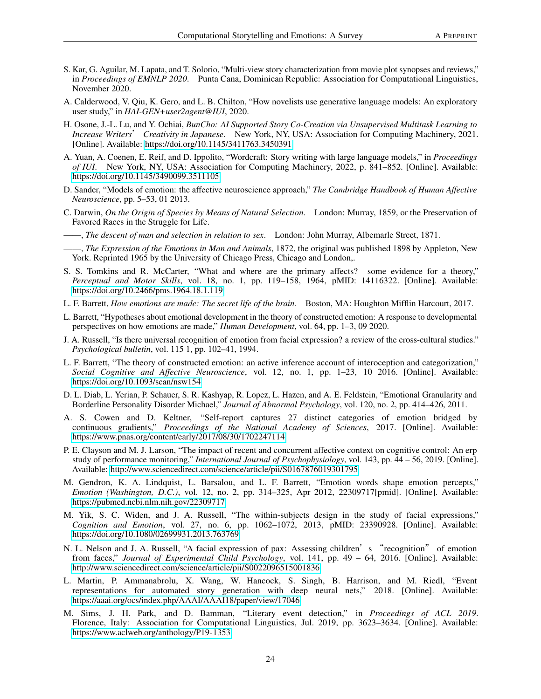- <span id="page-23-0"></span>S. Kar, G. Aguilar, M. Lapata, and T. Solorio, "Multi-view story characterization from movie plot synopses and reviews," in *Proceedings of EMNLP 2020*. Punta Cana, Dominican Republic: Association for Computational Linguistics, November 2020.
- <span id="page-23-1"></span>A. Calderwood, V. Qiu, K. Gero, and L. B. Chilton, "How novelists use generative language models: An exploratory user study," in *HAI-GEN+user2agent@IUI*, 2020.
- <span id="page-23-2"></span>H. Osone, J.-L. Lu, and Y. Ochiai, *BunCho: AI Supported Story Co-Creation via Unsupervised Multitask Learning to Increase Writers*' *Creativity in Japanese*. New York, NY, USA: Association for Computing Machinery, 2021. [Online]. Available:<https://doi.org/10.1145/3411763.3450391>
- <span id="page-23-3"></span>A. Yuan, A. Coenen, E. Reif, and D. Ippolito, "Wordcraft: Story writing with large language models," in *Proceedings of IUI*. New York, NY, USA: Association for Computing Machinery, 2022, p. 841–852. [Online]. Available: <https://doi.org/10.1145/3490099.3511105>
- <span id="page-23-4"></span>D. Sander, "Models of emotion: the affective neuroscience approach," *The Cambridge Handbook of Human Affective Neuroscience*, pp. 5–53, 01 2013.
- <span id="page-23-5"></span>C. Darwin, *On the Origin of Species by Means of Natural Selection*. London: Murray, 1859, or the Preservation of Favored Races in the Struggle for Life.
- <span id="page-23-6"></span>——, *The descent of man and selection in relation to sex*. London: John Murray, Albemarle Street, 1871.
- <span id="page-23-7"></span>——, *The Expression of the Emotions in Man and Animals*, 1872, the original was published 1898 by Appleton, New York. Reprinted 1965 by the University of Chicago Press, Chicago and London,.
- <span id="page-23-8"></span>S. S. Tomkins and R. McCarter, "What and where are the primary affects? some evidence for a theory," *Perceptual and Motor Skills*, vol. 18, no. 1, pp. 119–158, 1964, pMID: 14116322. [Online]. Available: <https://doi.org/10.2466/pms.1964.18.1.119>
- <span id="page-23-9"></span>L. F. Barrett, *How emotions are made: The secret life of the brain.* Boston, MA: Houghton Mifflin Harcourt, 2017.
- <span id="page-23-10"></span>L. Barrett, "Hypotheses about emotional development in the theory of constructed emotion: A response to developmental perspectives on how emotions are made," *Human Development*, vol. 64, pp. 1–3, 09 2020.
- <span id="page-23-11"></span>J. A. Russell, "Is there universal recognition of emotion from facial expression? a review of the cross-cultural studies." *Psychological bulletin*, vol. 115 1, pp. 102–41, 1994.
- <span id="page-23-12"></span>L. F. Barrett, "The theory of constructed emotion: an active inference account of interoception and categorization," *Social Cognitive and Affective Neuroscience*, vol. 12, no. 1, pp. 1–23, 10 2016. [Online]. Available: <https://doi.org/10.1093/scan/nsw154>
- <span id="page-23-13"></span>D. L. Diab, L. Yerian, P. Schauer, S. R. Kashyap, R. Lopez, L. Hazen, and A. E. Feldstein, "Emotional Granularity and Borderline Personality Disorder Michael," *Journal of Abnormal Psychology*, vol. 120, no. 2, pp. 414–426, 2011.
- <span id="page-23-14"></span>A. S. Cowen and D. Keltner, "Self-report captures 27 distinct categories of emotion bridged by continuous gradients," *Proceedings of the National Academy of Sciences*, 2017. [Online]. Available: <https://www.pnas.org/content/early/2017/08/30/1702247114>
- <span id="page-23-15"></span>P. E. Clayson and M. J. Larson, "The impact of recent and concurrent affective context on cognitive control: An erp study of performance monitoring," *International Journal of Psychophysiology*, vol. 143, pp. 44 – 56, 2019. [Online]. Available:<http://www.sciencedirect.com/science/article/pii/S0167876019301795>
- <span id="page-23-16"></span>M. Gendron, K. A. Lindquist, L. Barsalou, and L. F. Barrett, "Emotion words shape emotion percepts," *Emotion (Washington, D.C.)*, vol. 12, no. 2, pp. 314–325, Apr 2012, 22309717[pmid]. [Online]. Available: <https://pubmed.ncbi.nlm.nih.gov/22309717>
- <span id="page-23-17"></span>M. Yik, S. C. Widen, and J. A. Russell, "The within-subjects design in the study of facial expressions," *Cognition and Emotion*, vol. 27, no. 6, pp. 1062–1072, 2013, pMID: 23390928. [Online]. Available: <https://doi.org/10.1080/02699931.2013.763769>
- <span id="page-23-18"></span>N. L. Nelson and J. A. Russell, "A facial expression of pax: Assessing children's "recognition" of emotion from faces," *Journal of Experimental Child Psychology*, vol. 141, pp. 49 – 64, 2016. [Online]. Available: <http://www.sciencedirect.com/science/article/pii/S0022096515001836>
- <span id="page-23-19"></span>L. Martin, P. Ammanabrolu, X. Wang, W. Hancock, S. Singh, B. Harrison, and M. Riedl, "Event representations for automated story generation with deep neural nets," 2018. [Online]. Available: <https://aaai.org/ocs/index.php/AAAI/AAAI18/paper/view/17046>
- <span id="page-23-20"></span>M. Sims, J. H. Park, and D. Bamman, "Literary event detection," in *Proceedings of ACL 2019*. Florence, Italy: Association for Computational Linguistics, Jul. 2019, pp. 3623–3634. [Online]. Available: <https://www.aclweb.org/anthology/P19-1353>